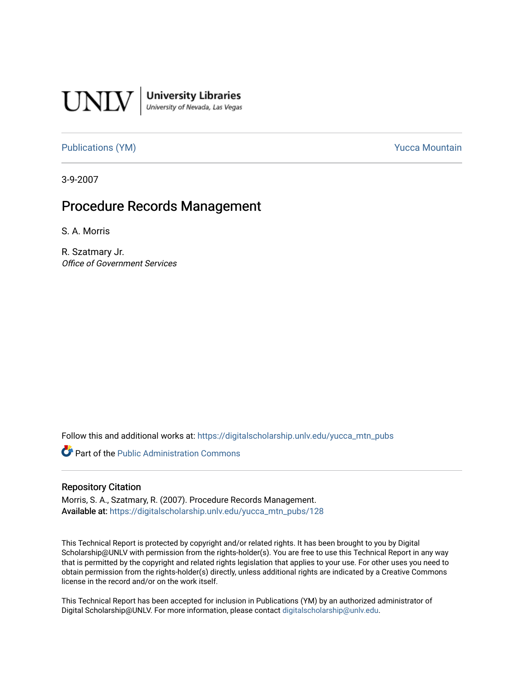

[Publications \(YM\)](https://digitalscholarship.unlv.edu/yucca_mtn_pubs) **Publications** (YM) **Publications** (YM)

3-9-2007

## Procedure Records Management

S. A. Morris

R. Szatmary Jr. Office of Government Services

Follow this and additional works at: [https://digitalscholarship.unlv.edu/yucca\\_mtn\\_pubs](https://digitalscholarship.unlv.edu/yucca_mtn_pubs?utm_source=digitalscholarship.unlv.edu%2Fyucca_mtn_pubs%2F128&utm_medium=PDF&utm_campaign=PDFCoverPages)

Part of the [Public Administration Commons](http://network.bepress.com/hgg/discipline/398?utm_source=digitalscholarship.unlv.edu%2Fyucca_mtn_pubs%2F128&utm_medium=PDF&utm_campaign=PDFCoverPages)

#### Repository Citation

Morris, S. A., Szatmary, R. (2007). Procedure Records Management. Available at: [https://digitalscholarship.unlv.edu/yucca\\_mtn\\_pubs/128](https://digitalscholarship.unlv.edu/yucca_mtn_pubs/128) 

This Technical Report is protected by copyright and/or related rights. It has been brought to you by Digital Scholarship@UNLV with permission from the rights-holder(s). You are free to use this Technical Report in any way that is permitted by the copyright and related rights legislation that applies to your use. For other uses you need to obtain permission from the rights-holder(s) directly, unless additional rights are indicated by a Creative Commons license in the record and/or on the work itself.

This Technical Report has been accepted for inclusion in Publications (YM) by an authorized administrator of Digital Scholarship@UNLV. For more information, please contact [digitalscholarship@unlv.edu](mailto:digitalscholarship@unlv.edu).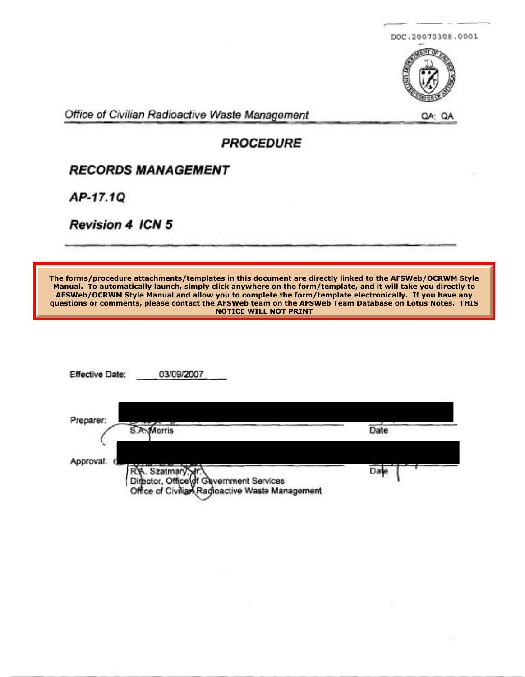



Office of Civilian Radioactive Waste Management QA: QA: QA

## **PROCEDURE**

## **RECORDS MANAGEMENT**

AP-17.10

**Revision 4 ICN 5** 

**The forms/procedure attachments/templates in this document are directly linked to the AFSWeb/OCRWM Style Manual. To automatically launch, simply click anywhere on the form/template, and it will take you directly to AFSWeb/OCRWM Style Manual and allow you to complete the form/template electronically. If you have any questions or comments, please contact the AFSWeb team on the AFSWeb Team Database on Lotus Notes. THIS NOTICE WILL NOT PRINT**

| <b>Effective Date:</b> | 03/09/2007                                                                                                       |      |
|------------------------|------------------------------------------------------------------------------------------------------------------|------|
| Preparer:<br>S.A       | Morris                                                                                                           | Date |
| Approval:              |                                                                                                                  |      |
|                        | R.A. Szatmary. Hr.<br>Director, Office of Gavernment Services<br>Office of Civilian Radioactive Waste Management | Date |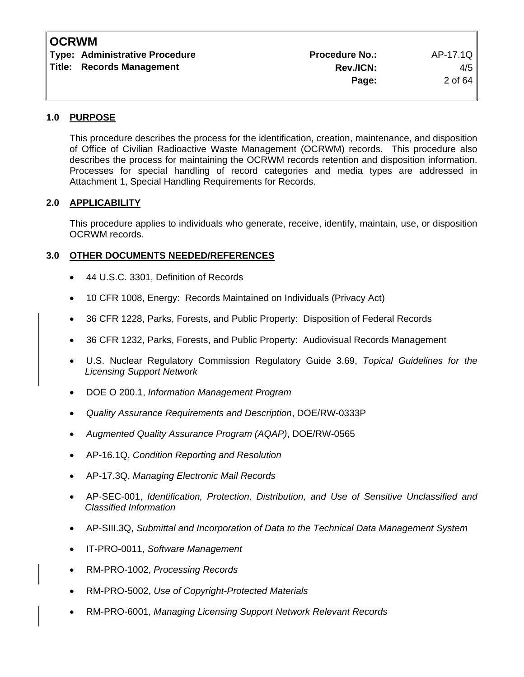| <b>Type: Administrative Procedure</b> | <b>Procedure No.:</b> | AP-17.1Q |
|---------------------------------------|-----------------------|----------|
| <b>Title: Records Management</b>      | <b>Rev./ICN:</b>      | 4/5      |
|                                       | Page:                 | 2 of 64  |

#### **1.0 PURPOSE**

This procedure describes the process for the identification, creation, maintenance, and disposition of Office of Civilian Radioactive Waste Management (OCRWM) records. This procedure also describes the process for maintaining the OCRWM records retention and disposition information. Processes for special handling of record categories and media types are addressed in Attachment 1, Special Handling Requirements for Records.

#### **2.0 APPLICABILITY**

This procedure applies to individuals who generate, receive, identify, maintain, use, or disposition OCRWM records.

#### **3.0 OTHER DOCUMENTS NEEDED/REFERENCES**

- 44 U.S.C. 3301, Definition of Records
- 10 CFR 1008, Energy: Records Maintained on Individuals (Privacy Act)
- 36 CFR 1228, Parks, Forests, and Public Property: Disposition of Federal Records
- 36 CFR 1232, Parks, Forests, and Public Property: Audiovisual Records Management
- U.S. Nuclear Regulatory Commission Regulatory Guide 3.69, *Topical Guidelines for the Licensing Support Network*
- DOE O 200.1, *Information Management Program*
- *Quality Assurance Requirements and Description*, DOE/RW-0333P
- *Augmented Quality Assurance Program (AQAP)*, DOE/RW-0565
- AP-16.1Q, *Condition Reporting and Resolution*
- AP-17.3Q, *Managing Electronic Mail Records*
- AP-SEC-001, *Identification, Protection, Distribution, and Use of Sensitive Unclassified and Classified Information*
- AP-SIII.3Q, *Submittal and Incorporation of Data to the Technical Data Management System*
- IT-PRO-0011, *Software Management*
- RM-PRO-1002, *Processing Records*
- RM-PRO-5002, *Use of Copyright-Protected Materials*
- RM-PRO-6001, *Managing Licensing Support Network Relevant Records*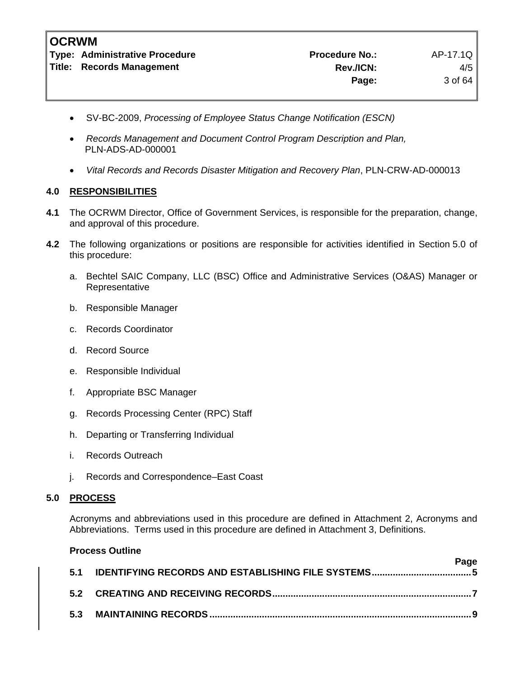**Type: Administrative Procedure No.: Procedure No.:** AP-17.1Q Title: Records Management **Rev./ICN:** A/5

- SV-BC-2009, *Processing of Employee Status Change Notification (ESCN)*
- *Records Management and Document Control Program Description and Plan,*  PLN-ADS-AD-000001
- *Vital Records and Records Disaster Mitigation and Recovery Plan*, PLN-CRW-AD-000013

#### **4.0 RESPONSIBILITIES**

- **4.1** The OCRWM Director, Office of Government Services, is responsible for the preparation, change, and approval of this procedure.
- **4.2** The following organizations or positions are responsible for activities identified in Section 5.0 of this procedure:
	- a. Bechtel SAIC Company, LLC (BSC) Office and Administrative Services (O&AS) Manager or Representative
	- b. Responsible Manager
	- c. Records Coordinator
	- d. Record Source
	- e. Responsible Individual
	- f. Appropriate BSC Manager
	- g. Records Processing Center (RPC) Staff
	- h. Departing or Transferring Individual
	- i. Records Outreach
	- j. Records and Correspondence–East Coast

#### **5.0 PROCESS**

Acronyms and abbreviations used in this procedure are defined in Attachment 2, Acronyms and Abbreviations. Terms used in this procedure are defined in Attachment 3, Definitions.

|     | <b>Process Outline</b> |      |
|-----|------------------------|------|
| 5.1 |                        | Page |
|     |                        |      |
|     |                        |      |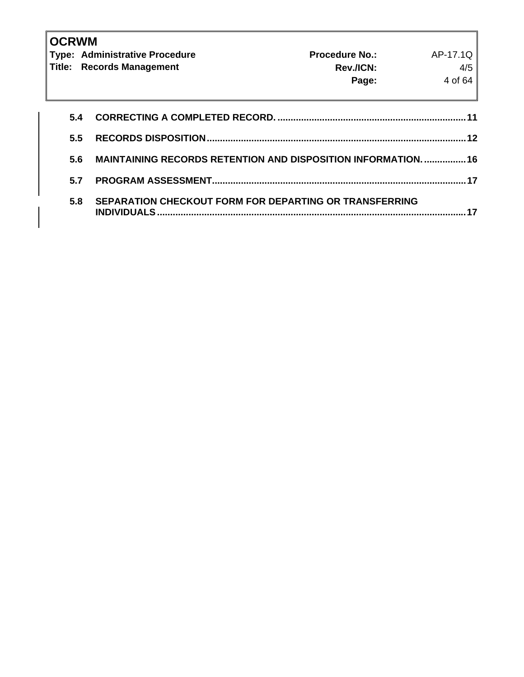| <b>OCRWM</b> | <b>Type: Administrative Procedure</b><br><b>Title: Records Management</b>    | <b>Procedure No.:</b><br>Rev./ICN:<br>Page: | AP-17.1Q<br>4/5<br>4 of 64 |
|--------------|------------------------------------------------------------------------------|---------------------------------------------|----------------------------|
| 5.4          |                                                                              |                                             |                            |
| 5.5          |                                                                              |                                             | 12                         |
| 5.6          | <b>MAINTAINING RECORDS RETENTION AND DISPOSITION INFORMATION.  16</b>        |                                             |                            |
| 5.7          |                                                                              |                                             | 17                         |
| 5.8          | SEPARATION CHECKOUT FORM FOR DEPARTING OR TRANSFERRING<br><b>INDIVIDUALS</b> |                                             |                            |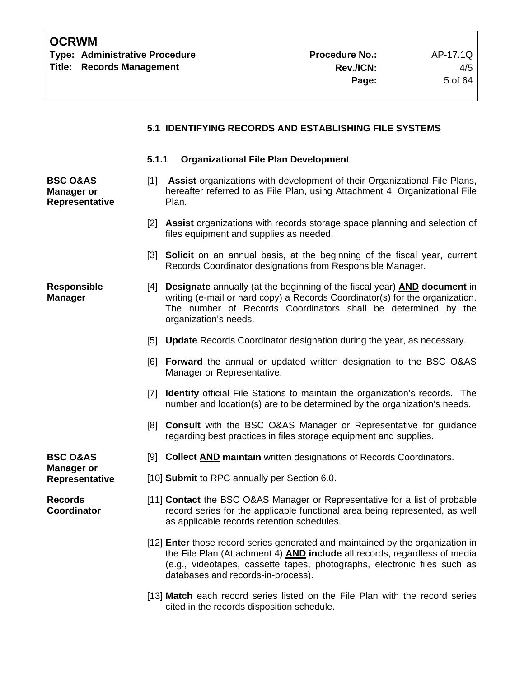#### **5.1 IDENTIFYING RECORDS AND ESTABLISHING FILE SYSTEMS**

#### **5.1.1 Organizational File Plan Development**

- [1] **Assist** organizations with development of their Organizational File Plans, hereafter referred to as File Plan, using Attachment 4, Organizational File Plan.
	- [2] **Assist** organizations with records storage space planning and selection of files equipment and supplies as needed.
	- [3] **Solicit** on an annual basis, at the beginning of the fiscal year, current Records Coordinator designations from Responsible Manager.
- **Responsible Manager**  [4] **Designate** annually (at the beginning of the fiscal year) **AND document** in writing (e-mail or hard copy) a Records Coordinator(s) for the organization. The number of Records Coordinators shall be determined by the organization's needs.
	- [5] **Update** Records Coordinator designation during the year, as necessary.
	- [6] **Forward** the annual or updated written designation to the BSC O&AS Manager or Representative.
	- [7] **Identify** official File Stations to maintain the organization's records. The number and location(s) are to be determined by the organization's needs.
	- [8] **Consult** with the BSC O&AS Manager or Representative for guidance regarding best practices in files storage equipment and supplies.
- **BSC O&AS** [9] **Collect AND maintain** written designations of Records Coordinators.
- **Representative** [10] **Submit** to RPC annually per Section 6.0.
	- [11] **Contact** the BSC O&AS Manager or Representative for a list of probable record series for the applicable functional area being represented, as well as applicable records retention schedules.
	- [12] **Enter** those record series generated and maintained by the organization in the File Plan (Attachment 4) **AND include** all records, regardless of media (e.g., videotapes, cassette tapes, photographs, electronic files such as databases and records-in-process).
	- [13] **Match** each record series listed on the File Plan with the record series cited in the records disposition schedule.

**Manager or** 

**BSC O&AS Manager or Representative** 

**Records Coordinator**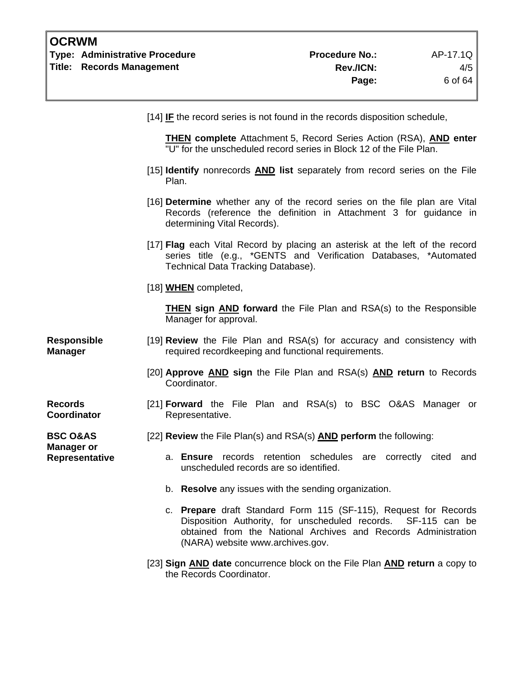| <b>OCRWM</b><br><b>Type: Administrative Procedure</b><br><b>Title: Records Management</b> |                                                                                                                               | <b>Procedure No.:</b><br>Rev./ICN:<br>Page:                                                                                                            | AP-17.1Q<br>4/5<br>6 of 64 |
|-------------------------------------------------------------------------------------------|-------------------------------------------------------------------------------------------------------------------------------|--------------------------------------------------------------------------------------------------------------------------------------------------------|----------------------------|
|                                                                                           | [14] <b>IF</b> the record series is not found in the records disposition schedule,                                            |                                                                                                                                                        |                            |
|                                                                                           |                                                                                                                               | <b>THEN complete</b> Attachment 5, Record Series Action (RSA), <b>AND</b> enter<br>"U" for the unscheduled record series in Block 12 of the File Plan. |                            |
|                                                                                           | [15] <b>Identify</b> nonrecords <b>AND</b> list separately from record series on the File<br>Plan.                            |                                                                                                                                                        |                            |
|                                                                                           | [16] Determine whether any of the record series on the file plan are Vital<br>determining Vital Records).                     | Records (reference the definition in Attachment 3 for guidance in                                                                                      |                            |
|                                                                                           | [17] Flag each Vital Record by placing an asterisk at the left of the record<br>Technical Data Tracking Database).            | series title (e.g., *GENTS and Verification Databases, *Automated                                                                                      |                            |
|                                                                                           | [18] <b>WHEN</b> completed,                                                                                                   |                                                                                                                                                        |                            |
|                                                                                           | Manager for approval.                                                                                                         | THEN sign AND forward the File Plan and RSA(s) to the Responsible                                                                                      |                            |
| <b>Responsible</b><br><b>Manager</b>                                                      | [19] Review the File Plan and RSA(s) for accuracy and consistency with<br>required recordkeeping and functional requirements. |                                                                                                                                                        |                            |
|                                                                                           | [20] Approve AND sign the File Plan and RSA(s) AND return to Records<br>Coordinator.                                          |                                                                                                                                                        |                            |
| <b>Records</b><br><b>Coordinator</b>                                                      | [21] Forward the File Plan and RSA(s) to BSC O&AS Manager or<br>Representative.                                               |                                                                                                                                                        |                            |
| <b>BSC O&amp;AS</b><br><b>Manager or</b><br>Representative                                | [22] Review the File Plan(s) and RSA(s) AND perform the following:<br>a. Ensure<br>unscheduled records are so identified.     | records retention schedules<br>are                                                                                                                     | correctly cited<br>and     |

- b. **Resolve** any issues with the sending organization.
- c. **Prepare** draft Standard Form 115 (SF-115), Request for Records Disposition Authority, for unscheduled records. SF-115 can be obtained from the National Archives and Records Administration (NARA) website www.archives.gov.
- [23] **Sign AND date** concurrence block on the File Plan **AND return** a copy to the Records Coordinator.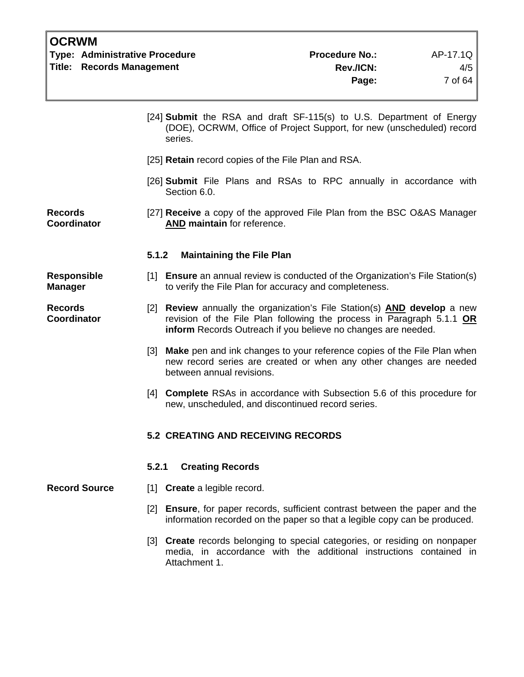| <b>Type: Administrative Procedure</b> | <b>Procedure No.:</b> | AP-17.1Q  |
|---------------------------------------|-----------------------|-----------|
| <b>Title: Records Management</b>      | Rev./ICN:             | $4/5$     |
|                                       | Page:                 | 7 of 64 I |
|                                       |                       |           |

- [24] **Submit** the RSA and draft SF-115(s) to U.S. Department of Energy (DOE), OCRWM, Office of Project Support, for new (unscheduled) record series.
- [25] **Retain** record copies of the File Plan and RSA.
- [26] **Submit** File Plans and RSAs to RPC annually in accordance with Section 6.0.

**Records Coordinator**  [27] **Receive** a copy of the approved File Plan from the BSC O&AS Manager **AND maintain** for reference.

#### **5.1.2 Maintaining the File Plan**

- [1] **Ensure** an annual review is conducted of the Organization's File Station(s) to verify the File Plan for accuracy and completeness.
	- [2] **Review** annually the organization's File Station(s) **AND develop** a new revision of the File Plan following the process in Paragraph 5.1.1 **OR inform** Records Outreach if you believe no changes are needed.
		- [3] **Make** pen and ink changes to your reference copies of the File Plan when new record series are created or when any other changes are needed between annual revisions.
		- [4] **Complete** RSAs in accordance with Subsection 5.6 of this procedure for new, unscheduled, and discontinued record series.

#### **5.2 CREATING AND RECEIVING RECORDS**

#### **5.2.1 Creating Records**

**Record Source** [1] **Create** a legible record.

- [2] **Ensure**, for paper records, sufficient contrast between the paper and the information recorded on the paper so that a legible copy can be produced.
- [3] **Create** records belonging to special categories, or residing on nonpaper media, in accordance with the additional instructions contained in Attachment 1.

**Responsible Manager** 

**Records Coordinator**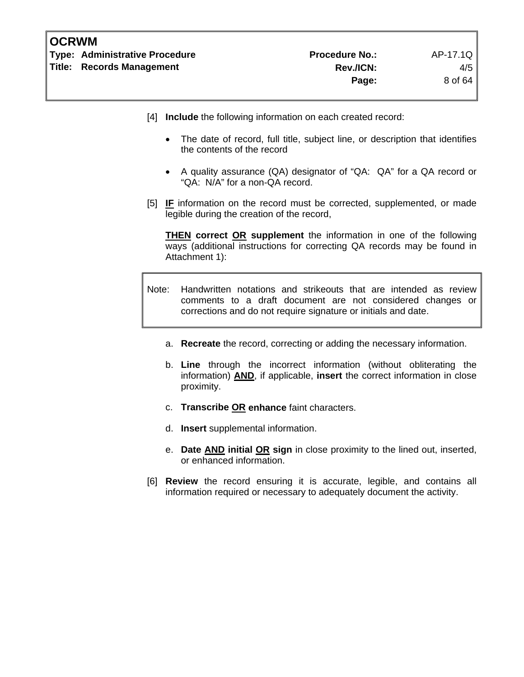| <b>OCRWM</b> |                                |                       |          |
|--------------|--------------------------------|-----------------------|----------|
|              | Type: Administrative Procedure | <b>Procedure No.:</b> | AP-17.1Q |
|              | Title: Records Management      | Rev./ICN:             | 4/5      |
|              |                                | Page:                 | 8 of 64  |

- [4] **Include** the following information on each created record:
	- The date of record, full title, subject line, or description that identifies the contents of the record
	- A quality assurance (QA) designator of "QA: QA" for a QA record or "QA: N/A" for a non-QA record.
- [5] **IF** information on the record must be corrected, supplemented, or made legible during the creation of the record,

**THEN correct OR supplement** the information in one of the following ways (additional instructions for correcting QA records may be found in Attachment 1):

- Note: Handwritten notations and strikeouts that are intended as review comments to a draft document are not considered changes or corrections and do not require signature or initials and date.
	- a. **Recreate** the record, correcting or adding the necessary information.
	- b. **Line** through the incorrect information (without obliterating the information) **AND**, if applicable, **insert** the correct information in close proximity.
	- c. **Transcribe OR enhance** faint characters.
	- d. **Insert** supplemental information.
	- e. **Date AND initial OR sign** in close proximity to the lined out, inserted, or enhanced information.
- [6] **Review** the record ensuring it is accurate, legible, and contains all information required or necessary to adequately document the activity.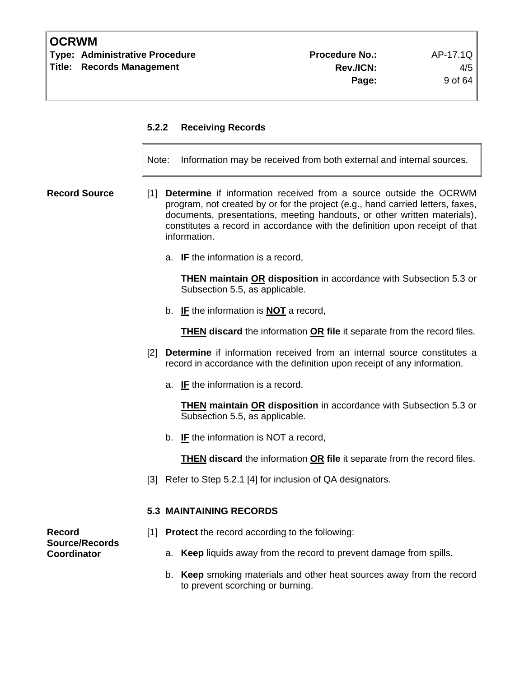**Type: Administrative Procedure Administrative Procedure Procedure No.:** AP-17.1Q **Title: Records Management Rev./ICN:** 4/5

#### **5.2.2 Receiving Records**

Note: Information may be received from both external and internal sources.

- **Record Source** [1] **Determine** if information received from a source outside the OCRWM program, not created by or for the project (e.g., hand carried letters, faxes, documents, presentations, meeting handouts, or other written materials), constitutes a record in accordance with the definition upon receipt of that information.
	- a. **IF** the information is a record,

**THEN maintain OR disposition** in accordance with Subsection 5.3 or Subsection 5.5, as applicable.

b. **IF** the information is **NOT** a record,

**THEN discard** the information **OR file** it separate from the record files.

- [2] **Determine** if information received from an internal source constitutes a record in accordance with the definition upon receipt of any information.
	- a. **IF** the information is a record,

**THEN maintain OR disposition** in accordance with Subsection 5.3 or Subsection 5.5, as applicable.

b. **IF** the information is NOT a record,

**THEN discard** the information **OR file** it separate from the record files.

[3] Refer to Step 5.2.1 [4] for inclusion of QA designators.

#### **5.3 MAINTAINING RECORDS**

**Record** [1] **Protect** the record according to the following:

**Coordinator** a. **Keep** liquids away from the record to prevent damage from spills.

b. **Keep** smoking materials and other heat sources away from the record to prevent scorching or burning.

**Source/Records**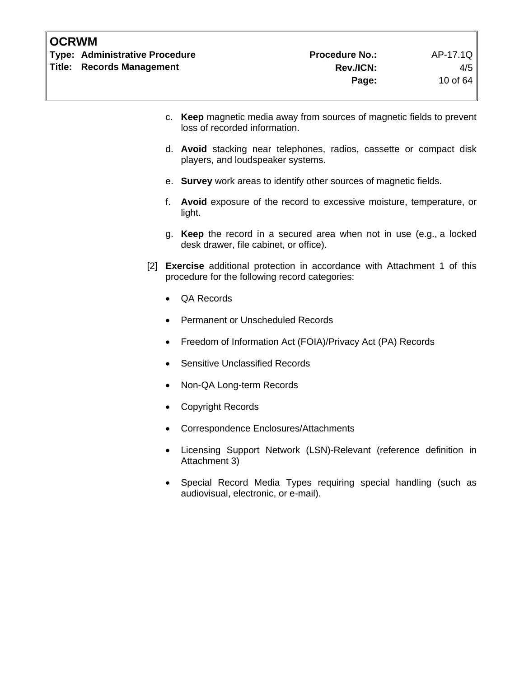**Type: Administrative Procedure Administrative Procedure Procedure No.:** AP-17.1Q Title: Records Management **Rev./ICN:** A/5

- c. **Keep** magnetic media away from sources of magnetic fields to prevent loss of recorded information.
- d. **Avoid** stacking near telephones, radios, cassette or compact disk players, and loudspeaker systems.
- e. **Survey** work areas to identify other sources of magnetic fields.
- f. **Avoid** exposure of the record to excessive moisture, temperature, or light.
- g. **Keep** the record in a secured area when not in use (e.g., a locked desk drawer, file cabinet, or office).
- [2] **Exercise** additional protection in accordance with Attachment 1 of this procedure for the following record categories:
	- QA Records
	- Permanent or Unscheduled Records
	- Freedom of Information Act (FOIA)/Privacy Act (PA) Records
	- Sensitive Unclassified Records
	- Non-QA Long-term Records
	- Copyright Records
	- Correspondence Enclosures/Attachments
	- Licensing Support Network (LSN)-Relevant (reference definition in Attachment 3)
	- Special Record Media Types requiring special handling (such as audiovisual, electronic, or e-mail).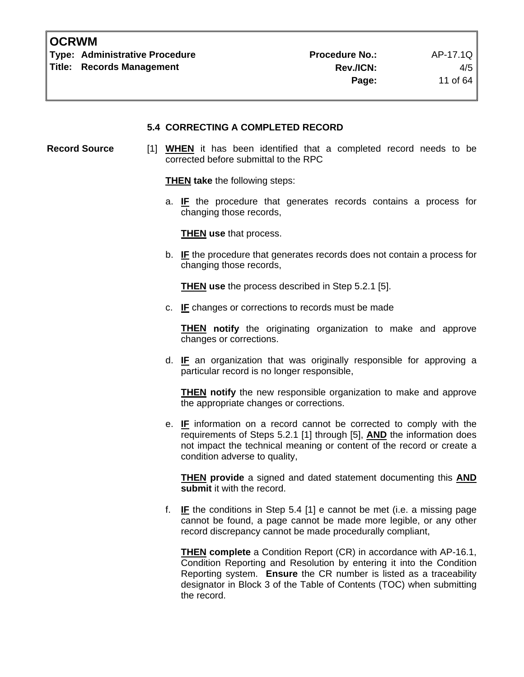**Type: Administrative Procedure Community Procedure Procedure No.:** AP-17.1Q Title: Records Management **Rev./ICN:** A/5

**Page:** 11 of 64

#### **5.4 CORRECTING A COMPLETED RECORD**

**Record Source** [1] **WHEN** it has been identified that a completed record needs to be corrected before submittal to the RPC

**THEN take** the following steps:

a. **IF** the procedure that generates records contains a process for changing those records,

**THEN use** that process.

b. **IF** the procedure that generates records does not contain a process for changing those records,

**THEN use** the process described in Step 5.2.1 [5].

c. **IF** changes or corrections to records must be made

**THEN notify** the originating organization to make and approve changes or corrections.

d. **IF** an organization that was originally responsible for approving a particular record is no longer responsible,

**THEN notify** the new responsible organization to make and approve the appropriate changes or corrections.

e. **IF** information on a record cannot be corrected to comply with the requirements of Steps 5.2.1 [1] through [5], **AND** the information does not impact the technical meaning or content of the record or create a condition adverse to quality,

**THEN provide** a signed and dated statement documenting this **AND submit** it with the record.

f. **IF** the conditions in Step 5.4 [1] e cannot be met (i.e. a missing page cannot be found, a page cannot be made more legible, or any other record discrepancy cannot be made procedurally compliant,

**THEN complete** a Condition Report (CR) in accordance with AP-16.1, Condition Reporting and Resolution by entering it into the Condition Reporting system. **Ensure** the CR number is listed as a traceability designator in Block 3 of the Table of Contents (TOC) when submitting the record.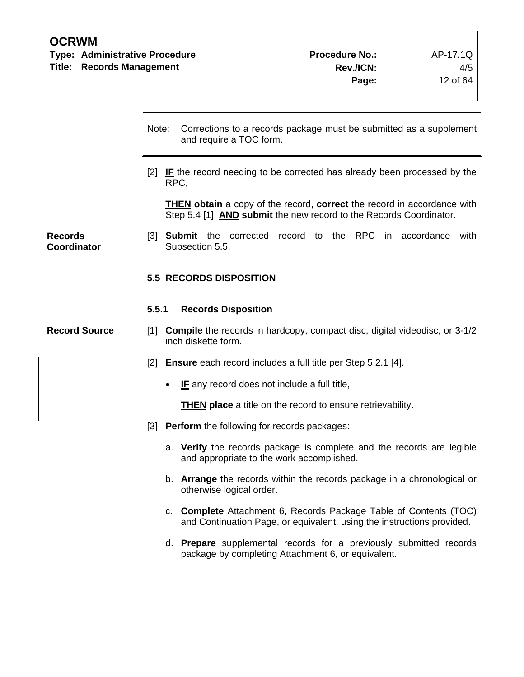**Type: Administrative Procedure Access Access Procedure No.:** AP-17.1Q **Title: Records Management Rev./ICN:** 4/5

|                                      | Corrections to a records package must be submitted as a supplement<br>Note:<br>and require a TOC form.                                      |                                                                                                                                                              |  |
|--------------------------------------|---------------------------------------------------------------------------------------------------------------------------------------------|--------------------------------------------------------------------------------------------------------------------------------------------------------------|--|
|                                      | [2] IF the record needing to be corrected has already been processed by the<br>RPC,                                                         |                                                                                                                                                              |  |
|                                      |                                                                                                                                             | <b>THEN</b> obtain a copy of the record, correct the record in accordance with<br>Step 5.4 [1], <b>AND submit</b> the new record to the Records Coordinator. |  |
| <b>Records</b><br><b>Coordinator</b> |                                                                                                                                             | [3] Submit the corrected record to the RPC in accordance with<br>Subsection 5.5.                                                                             |  |
|                                      |                                                                                                                                             | <b>5.5 RECORDS DISPOSITION</b>                                                                                                                               |  |
|                                      | 5.5.1                                                                                                                                       | <b>Records Disposition</b>                                                                                                                                   |  |
| <b>Record Source</b>                 |                                                                                                                                             | [1] <b>Compile</b> the records in hardcopy, compact disc, digital videodisc, or 3-1/2<br>inch diskette form.                                                 |  |
|                                      |                                                                                                                                             | [2] Ensure each record includes a full title per Step 5.2.1 [4].                                                                                             |  |
|                                      |                                                                                                                                             | IF any record does not include a full title,<br>$\bullet$                                                                                                    |  |
|                                      |                                                                                                                                             | <b>THEN place</b> a title on the record to ensure retrievability.                                                                                            |  |
|                                      |                                                                                                                                             | [3] Perform the following for records packages:                                                                                                              |  |
|                                      |                                                                                                                                             | a. Verify the records package is complete and the records are legible<br>and appropriate to the work accomplished.                                           |  |
|                                      |                                                                                                                                             | b. Arrange the records within the records package in a chronological or<br>otherwise logical order.                                                          |  |
|                                      | c. Complete Attachment 6, Records Package Table of Contents (TOC)<br>and Continuation Page, or equivalent, using the instructions provided. |                                                                                                                                                              |  |
|                                      |                                                                                                                                             | d. Prepare supplemental records for a previously submitted records<br>package by completing Attachment 6, or equivalent.                                     |  |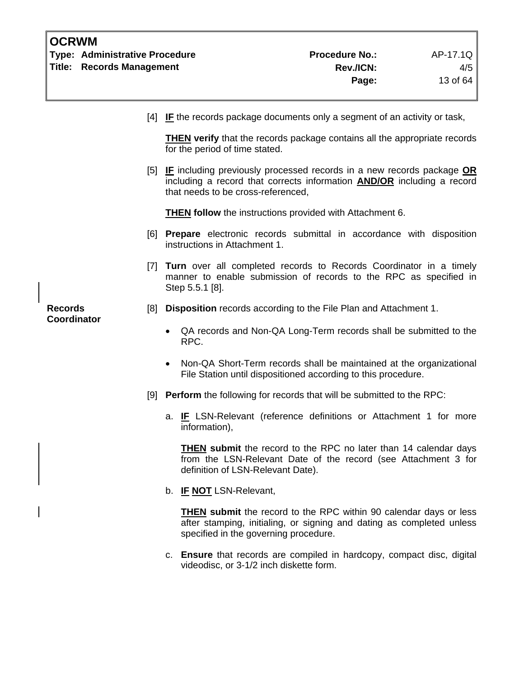| <b>OCRWM</b>                         | <b>Type: Administrative Procedure</b><br><b>Title: Records Management</b> |                                                                                                                                                                | <b>Procedure No.:</b><br>Rev./ICN:<br>Page:                                                                                                                | AP-17.1Q<br>4/5<br>13 of 64 |
|--------------------------------------|---------------------------------------------------------------------------|----------------------------------------------------------------------------------------------------------------------------------------------------------------|------------------------------------------------------------------------------------------------------------------------------------------------------------|-----------------------------|
|                                      |                                                                           |                                                                                                                                                                | $[4]$ IF the records package documents only a segment of an activity or task,                                                                              |                             |
|                                      |                                                                           | for the period of time stated.                                                                                                                                 | <b>THEN</b> verify that the records package contains all the appropriate records                                                                           |                             |
|                                      |                                                                           | that needs to be cross-referenced,                                                                                                                             | [5] IF including previously processed records in a new records package OR<br>including a record that corrects information <b>AND/OR</b> including a record |                             |
|                                      |                                                                           |                                                                                                                                                                | <b>THEN follow</b> the instructions provided with Attachment 6.                                                                                            |                             |
|                                      |                                                                           | instructions in Attachment 1.                                                                                                                                  | [6] Prepare electronic records submittal in accordance with disposition                                                                                    |                             |
|                                      |                                                                           | [7] Turn over all completed records to Records Coordinator in a timely<br>manner to enable submission of records to the RPC as specified in<br>Step 5.5.1 [8]. |                                                                                                                                                            |                             |
| <b>Records</b><br><b>Coordinator</b> | [8]                                                                       |                                                                                                                                                                | Disposition records according to the File Plan and Attachment 1.                                                                                           |                             |
|                                      |                                                                           | ٠<br>RPC.                                                                                                                                                      | QA records and Non-QA Long-Term records shall be submitted to the                                                                                          |                             |
|                                      |                                                                           |                                                                                                                                                                | Non-QA Short-Term records shall be maintained at the organizational<br>File Station until dispositioned according to this procedure.                       |                             |
|                                      | [9]                                                                       |                                                                                                                                                                | <b>Perform</b> the following for records that will be submitted to the RPC:                                                                                |                             |
|                                      |                                                                           | information),                                                                                                                                                  | a. IF LSN-Relevant (reference definitions or Attachment 1 for more                                                                                         |                             |
|                                      |                                                                           | definition of LSN-Relevant Date).                                                                                                                              | THEN submit the record to the RPC no later than 14 calendar days<br>from the LSN-Relevant Date of the record (see Attachment 3 for                         |                             |
|                                      |                                                                           | b. IF NOT LSN-Relevant,                                                                                                                                        |                                                                                                                                                            |                             |
|                                      |                                                                           | specified in the governing procedure.                                                                                                                          | <b>THEN</b> submit the record to the RPC within 90 calendar days or less<br>after stamping, initialing, or signing and dating as completed unless          |                             |
|                                      |                                                                           | videodisc, or 3-1/2 inch diskette form.                                                                                                                        | c. Ensure that records are compiled in hardcopy, compact disc, digital                                                                                     |                             |

 $\overline{\phantom{a}}$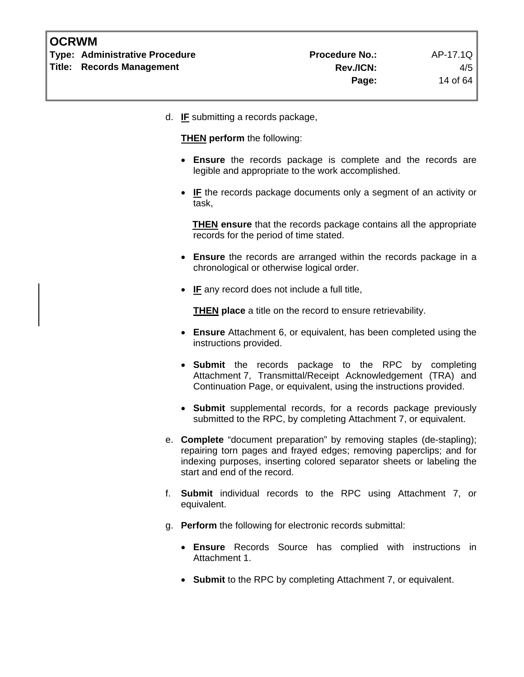| <b>OCRWM</b> |                                       |                       |          |
|--------------|---------------------------------------|-----------------------|----------|
|              | <b>Type: Administrative Procedure</b> | <b>Procedure No.:</b> | AP-17.1Q |
|              | <b>Title: Records Management</b>      | <b>Rev./ICN:</b>      | 4/5      |
|              |                                       | Page:                 | 14 of 64 |

d. **IF** submitting a records package,

**THEN perform** the following:

- **Ensure** the records package is complete and the records are legible and appropriate to the work accomplished.
- **IF** the records package documents only a segment of an activity or task,

**THEN ensure** that the records package contains all the appropriate records for the period of time stated.

- **Ensure** the records are arranged within the records package in a chronological or otherwise logical order.
- **IF** any record does not include a full title,

 **THEN place** a title on the record to ensure retrievability.

- **Ensure** Attachment 6, or equivalent, has been completed using the instructions provided.
- **Submit** the records package to the RPC by completing Attachment 7, Transmittal/Receipt Acknowledgement (TRA) and Continuation Page, or equivalent, using the instructions provided.
- **Submit** supplemental records, for a records package previously submitted to the RPC, by completing Attachment 7, or equivalent.
- e. **Complete** "document preparation" by removing staples (de-stapling); repairing torn pages and frayed edges; removing paperclips; and for indexing purposes, inserting colored separator sheets or labeling the start and end of the record.
- f. **Submit** individual records to the RPC using Attachment 7, or equivalent.
- g. **Perform** the following for electronic records submittal:
	- **Ensure** Records Source has complied with instructions in Attachment 1.
	- **Submit** to the RPC by completing Attachment 7, or equivalent.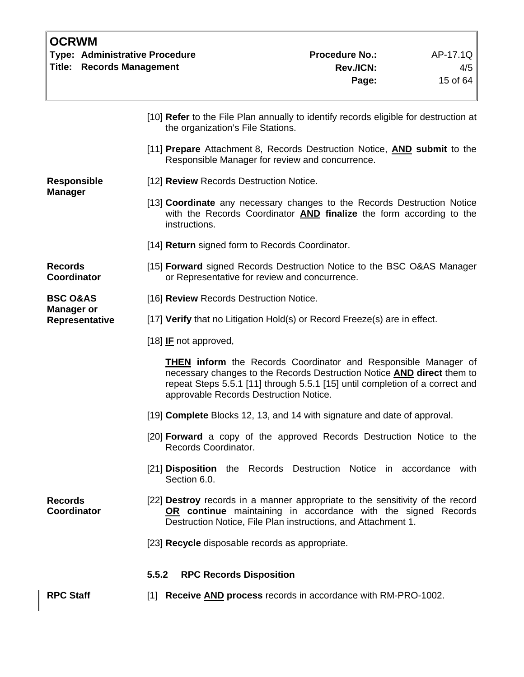| <b>OCRWM</b><br><b>Type: Administrative Procedure</b><br><b>Title: Records Management</b> |                                                                                                                                                                 | <b>Procedure No.:</b><br>Rev./ICN:<br>Page:                                                                                                                                                                                            | AP-17.1Q<br>4/5<br>15 of 64 |
|-------------------------------------------------------------------------------------------|-----------------------------------------------------------------------------------------------------------------------------------------------------------------|----------------------------------------------------------------------------------------------------------------------------------------------------------------------------------------------------------------------------------------|-----------------------------|
|                                                                                           | the organization's File Stations.                                                                                                                               | [10] Refer to the File Plan annually to identify records eligible for destruction at                                                                                                                                                   |                             |
|                                                                                           |                                                                                                                                                                 | [11] Prepare Attachment 8, Records Destruction Notice, <b>AND submit</b> to the<br>Responsible Manager for review and concurrence.                                                                                                     |                             |
| <b>Responsible</b>                                                                        | [12] Review Records Destruction Notice.                                                                                                                         |                                                                                                                                                                                                                                        |                             |
| <b>Manager</b>                                                                            | [13] Coordinate any necessary changes to the Records Destruction Notice<br>with the Records Coordinator AND finalize the form according to the<br>instructions. |                                                                                                                                                                                                                                        |                             |
|                                                                                           | [14] Return signed form to Records Coordinator.                                                                                                                 |                                                                                                                                                                                                                                        |                             |
| <b>Records</b><br>Coordinator                                                             | [15] Forward signed Records Destruction Notice to the BSC O&AS Manager<br>or Representative for review and concurrence.                                         |                                                                                                                                                                                                                                        |                             |
| <b>BSC O&amp;AS</b>                                                                       | [16] Review Records Destruction Notice.                                                                                                                         |                                                                                                                                                                                                                                        |                             |
| <b>Manager or</b><br>Representative                                                       |                                                                                                                                                                 | [17] Verify that no Litigation Hold(s) or Record Freeze(s) are in effect.                                                                                                                                                              |                             |
|                                                                                           | [18] $IF$ not approved,                                                                                                                                         |                                                                                                                                                                                                                                        |                             |
|                                                                                           | approvable Records Destruction Notice.                                                                                                                          | <b>THEN</b> inform the Records Coordinator and Responsible Manager of<br>necessary changes to the Records Destruction Notice <b>AND</b> direct them to<br>repeat Steps 5.5.1 [11] through 5.5.1 [15] until completion of a correct and |                             |
|                                                                                           |                                                                                                                                                                 | [19] Complete Blocks 12, 13, and 14 with signature and date of approval.                                                                                                                                                               |                             |
|                                                                                           | Records Coordinator.                                                                                                                                            | [20] <b>Forward</b> a copy of the approved Records Destruction Notice to the                                                                                                                                                           |                             |
|                                                                                           | Section 6.0.                                                                                                                                                    | [21] Disposition the Records Destruction Notice in accordance with                                                                                                                                                                     |                             |
| <b>Records</b><br><b>Coordinator</b>                                                      |                                                                                                                                                                 | [22] <b>Destroy</b> records in a manner appropriate to the sensitivity of the record<br>OR continue maintaining in accordance with the signed Records<br>Destruction Notice, File Plan instructions, and Attachment 1.                 |                             |
|                                                                                           | [23] Recycle disposable records as appropriate.                                                                                                                 |                                                                                                                                                                                                                                        |                             |
|                                                                                           | <b>RPC Records Disposition</b><br>5.5.2                                                                                                                         |                                                                                                                                                                                                                                        |                             |
| <b>RPC Staff</b>                                                                          |                                                                                                                                                                 | [1] Receive <b>AND</b> process records in accordance with RM-PRO-1002.                                                                                                                                                                 |                             |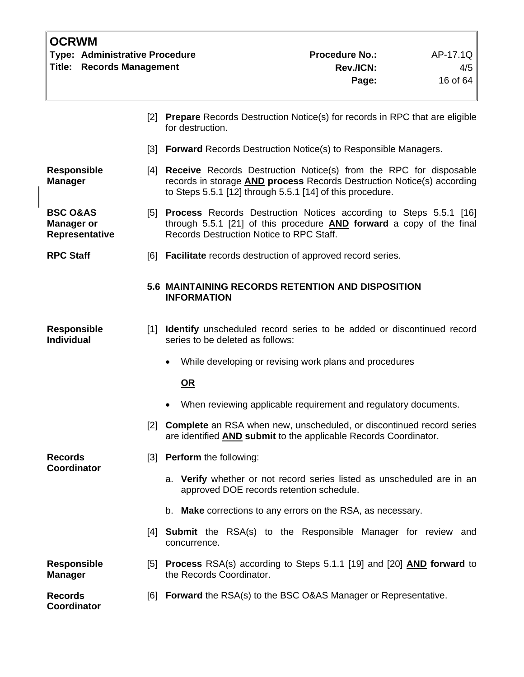| <b>OCRWM</b><br>Type: Administrative Procedure<br>Title:<br><b>Records Management</b> |                   |                                                                                                                                                                                                                     | <b>Procedure No.:</b><br>Rev./ICN:<br>Page: | AP-17.1Q<br>4/5<br>16 of 64 |
|---------------------------------------------------------------------------------------|-------------------|---------------------------------------------------------------------------------------------------------------------------------------------------------------------------------------------------------------------|---------------------------------------------|-----------------------------|
|                                                                                       | $\lceil 2 \rceil$ | <b>Prepare</b> Records Destruction Notice(s) for records in RPC that are eligible<br>for destruction.                                                                                                               |                                             |                             |
|                                                                                       |                   | [3] Forward Records Destruction Notice(s) to Responsible Managers.                                                                                                                                                  |                                             |                             |
| <b>Responsible</b><br><b>Manager</b>                                                  |                   | [4] Receive Records Destruction Notice(s) from the RPC for disposable<br>records in storage <b>AND process</b> Records Destruction Notice(s) according<br>to Steps 5.5.1 [12] through 5.5.1 [14] of this procedure. |                                             |                             |
| <b>BSC O&amp;AS</b><br><b>Manager or</b><br>Representative                            |                   | [5] Process Records Destruction Notices according to Steps 5.5.1 [16]<br>through 5.5.1 [21] of this procedure <b>AND</b> forward a copy of the final<br>Records Destruction Notice to RPC Staff.                    |                                             |                             |
| <b>RPC Staff</b>                                                                      |                   | [6] Facilitate records destruction of approved record series.                                                                                                                                                       |                                             |                             |
|                                                                                       |                   | 5.6 MAINTAINING RECORDS RETENTION AND DISPOSITION<br><b>INFORMATION</b>                                                                                                                                             |                                             |                             |
| <b>Responsible</b><br><b>Individual</b>                                               |                   | [1] Identify unscheduled record series to be added or discontinued record<br>series to be deleted as follows:                                                                                                       |                                             |                             |
|                                                                                       |                   | While developing or revising work plans and procedures                                                                                                                                                              |                                             |                             |
|                                                                                       |                   | $OR$                                                                                                                                                                                                                |                                             |                             |
|                                                                                       |                   | When reviewing applicable requirement and regulatory documents.                                                                                                                                                     |                                             |                             |
|                                                                                       | $\lceil 2 \rceil$ | <b>Complete</b> an RSA when new, unscheduled, or discontinued record series<br>are identified AND submit to the applicable Records Coordinator.                                                                     |                                             |                             |
| <b>Records</b><br>Coordinator                                                         | [3]               | <b>Perform</b> the following:                                                                                                                                                                                       |                                             |                             |
|                                                                                       |                   | a. Verify whether or not record series listed as unscheduled are in an<br>approved DOE records retention schedule.                                                                                                  |                                             |                             |
|                                                                                       |                   | b. Make corrections to any errors on the RSA, as necessary.                                                                                                                                                         |                                             |                             |
|                                                                                       |                   | [4] <b>Submit</b> the RSA(s) to the Responsible Manager for review and<br>concurrence.                                                                                                                              |                                             |                             |
| <b>Responsible</b><br><b>Manager</b>                                                  | [5]               | Process RSA(s) according to Steps 5.1.1 [19] and [20] AND forward to<br>the Records Coordinator.                                                                                                                    |                                             |                             |
| <b>Records</b><br>Coordinator                                                         | [6]               | <b>Forward</b> the RSA(s) to the BSC O&AS Manager or Representative.                                                                                                                                                |                                             |                             |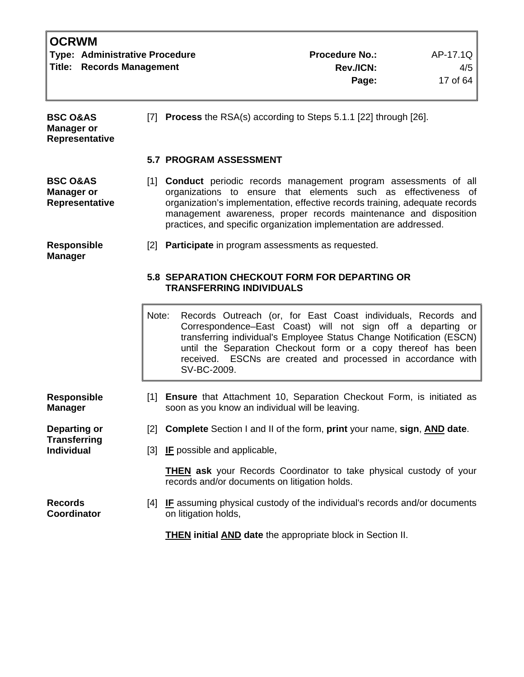|                                          | <b>OCRWM</b>                          |                                                                                                                                                                                                                                                                                                                                                                      |                                                                                                                                |                                                                                                                                                                                                                                                                                                                                       |          |  |
|------------------------------------------|---------------------------------------|----------------------------------------------------------------------------------------------------------------------------------------------------------------------------------------------------------------------------------------------------------------------------------------------------------------------------------------------------------------------|--------------------------------------------------------------------------------------------------------------------------------|---------------------------------------------------------------------------------------------------------------------------------------------------------------------------------------------------------------------------------------------------------------------------------------------------------------------------------------|----------|--|
|                                          | <b>Type: Administrative Procedure</b> |                                                                                                                                                                                                                                                                                                                                                                      |                                                                                                                                | <b>Procedure No.:</b>                                                                                                                                                                                                                                                                                                                 | AP-17.1Q |  |
|                                          | <b>Title: Records Management</b>      |                                                                                                                                                                                                                                                                                                                                                                      |                                                                                                                                | Rev./ICN:                                                                                                                                                                                                                                                                                                                             | 4/5      |  |
|                                          |                                       |                                                                                                                                                                                                                                                                                                                                                                      |                                                                                                                                | Page:                                                                                                                                                                                                                                                                                                                                 | 17 of 64 |  |
| <b>BSC O&amp;AS</b><br><b>Manager or</b> | <b>Representative</b>                 |                                                                                                                                                                                                                                                                                                                                                                      | [7] Process the RSA(s) according to Steps 5.1.1 [22] through [26].                                                             |                                                                                                                                                                                                                                                                                                                                       |          |  |
|                                          |                                       |                                                                                                                                                                                                                                                                                                                                                                      | <b>5.7 PROGRAM ASSESSMENT</b>                                                                                                  |                                                                                                                                                                                                                                                                                                                                       |          |  |
| <b>BSC O&amp;AS</b><br><b>Manager or</b> | Representative                        | [1] <b>Conduct</b> periodic records management program assessments of all<br>organizations to ensure that elements such as effectiveness of<br>organization's implementation, effective records training, adequate records<br>management awareness, proper records maintenance and disposition<br>practices, and specific organization implementation are addressed. |                                                                                                                                |                                                                                                                                                                                                                                                                                                                                       |          |  |
| <b>Responsible</b><br><b>Manager</b>     |                                       | $\lceil 2 \rceil$                                                                                                                                                                                                                                                                                                                                                    | Participate in program assessments as requested.                                                                               |                                                                                                                                                                                                                                                                                                                                       |          |  |
|                                          |                                       | <b>5.8 SEPARATION CHECKOUT FORM FOR DEPARTING OR</b><br><b>TRANSFERRING INDIVIDUALS</b>                                                                                                                                                                                                                                                                              |                                                                                                                                |                                                                                                                                                                                                                                                                                                                                       |          |  |
|                                          |                                       | Note:                                                                                                                                                                                                                                                                                                                                                                | SV-BC-2009.                                                                                                                    | Records Outreach (or, for East Coast individuals, Records and<br>Correspondence–East Coast) will not sign off a departing or<br>transferring individual's Employee Status Change Notification (ESCN)<br>until the Separation Checkout form or a copy thereof has been<br>received. ESCNs are created and processed in accordance with |          |  |
| <b>Responsible</b><br>Manager            |                                       | [1]                                                                                                                                                                                                                                                                                                                                                                  | <b>Ensure</b> that Attachment 10, Separation Checkout Form, is initiated as<br>soon as you know an individual will be leaving. |                                                                                                                                                                                                                                                                                                                                       |          |  |
| <b>Departing or</b>                      |                                       | $\lceil 2 \rceil$                                                                                                                                                                                                                                                                                                                                                    | <b>Complete</b> Section I and II of the form, print your name, sign, AND date.                                                 |                                                                                                                                                                                                                                                                                                                                       |          |  |
| Transferring<br><b>Individual</b>        |                                       | $\lceil 3 \rceil$                                                                                                                                                                                                                                                                                                                                                    | <b>IF</b> possible and applicable,                                                                                             |                                                                                                                                                                                                                                                                                                                                       |          |  |
|                                          |                                       |                                                                                                                                                                                                                                                                                                                                                                      | <b>THEN</b> ask your Records Coordinator to take physical custody of your<br>records and/or documents on litigation holds.     |                                                                                                                                                                                                                                                                                                                                       |          |  |
| <b>Records</b><br>Coordinator            |                                       | 4                                                                                                                                                                                                                                                                                                                                                                    | <b>IF</b> assuming physical custody of the individual's records and/or documents<br>on litigation holds,                       |                                                                                                                                                                                                                                                                                                                                       |          |  |
|                                          |                                       |                                                                                                                                                                                                                                                                                                                                                                      | <b>THEN</b> initial <b>AND</b> date the appropriate block in Section II.                                                       |                                                                                                                                                                                                                                                                                                                                       |          |  |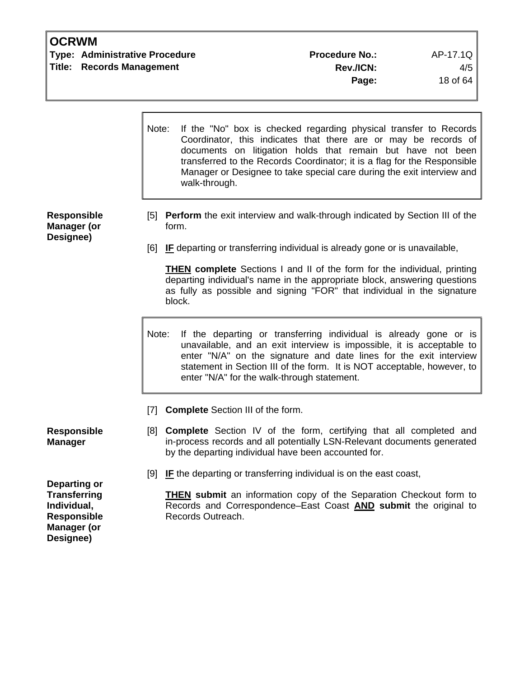**Type: Administrative Procedure Access Access Procedure No.:** AP-17.1Q **Title: Records Management Rev./ICN:** 4/5

|                                                                                                                    | If the "No" box is checked regarding physical transfer to Records<br>Note:<br>Coordinator, this indicates that there are or may be records of<br>documents on litigation holds that remain but have not been<br>transferred to the Records Coordinator; it is a flag for the Responsible<br>Manager or Designee to take special care during the exit interview and<br>walk-through. |
|--------------------------------------------------------------------------------------------------------------------|-------------------------------------------------------------------------------------------------------------------------------------------------------------------------------------------------------------------------------------------------------------------------------------------------------------------------------------------------------------------------------------|
| <b>Responsible</b><br><b>Manager (or</b><br>Designee)                                                              | [5] Perform the exit interview and walk-through indicated by Section III of the<br>form.                                                                                                                                                                                                                                                                                            |
|                                                                                                                    | [6] IF departing or transferring individual is already gone or is unavailable,                                                                                                                                                                                                                                                                                                      |
|                                                                                                                    | <b>THEN complete</b> Sections I and II of the form for the individual, printing<br>departing individual's name in the appropriate block, answering questions<br>as fully as possible and signing "FOR" that individual in the signature<br>block.                                                                                                                                   |
|                                                                                                                    | Note:<br>If the departing or transferring individual is already gone or is<br>unavailable, and an exit interview is impossible, it is acceptable to<br>enter "N/A" on the signature and date lines for the exit interview<br>statement in Section III of the form. It is NOT acceptable, however, to<br>enter "N/A" for the walk-through statement.                                 |
|                                                                                                                    | <b>Complete</b> Section III of the form.<br>$\lceil 7 \rceil$                                                                                                                                                                                                                                                                                                                       |
| <b>Responsible</b><br><b>Manager</b>                                                                               | <b>Complete</b> Section IV of the form, certifying that all completed and<br>[8]<br>in-process records and all potentially LSN-Relevant documents generated<br>by the departing individual have been accounted for.                                                                                                                                                                 |
|                                                                                                                    | [9]<br>IF the departing or transferring individual is on the east coast,                                                                                                                                                                                                                                                                                                            |
| <b>Departing or</b><br><b>Transferring</b><br>Individual,<br><b>Responsible</b><br><b>Manager (or</b><br>Designee) | <b>THEN submit</b> an information copy of the Separation Checkout form to<br>Records and Correspondence-East Coast AND submit the original to<br>Records Outreach.                                                                                                                                                                                                                  |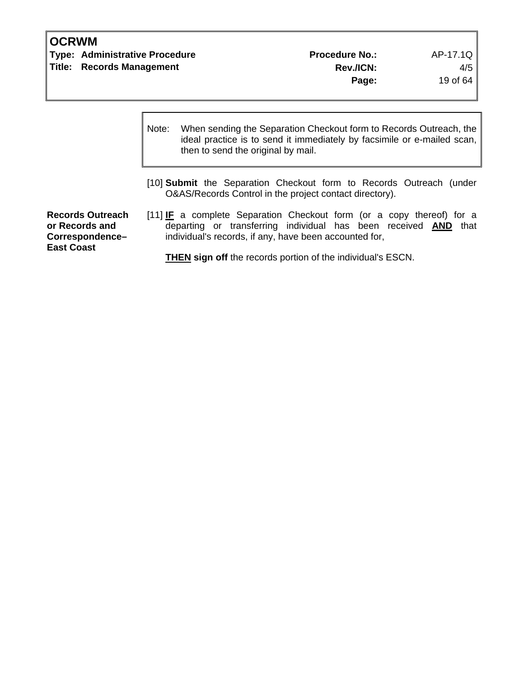**Type: Administrative Procedure Access Access Procedure No.:** AP-17.1Q **Title: Records Management Rev./ICN:** 4/5

|                                                                                   | Note: | When sending the Separation Checkout form to Records Outreach, the<br>ideal practice is to send it immediately by facsimile or e-mailed scan,<br>then to send the original by mail.                       |  |  |
|-----------------------------------------------------------------------------------|-------|-----------------------------------------------------------------------------------------------------------------------------------------------------------------------------------------------------------|--|--|
|                                                                                   |       | [10] <b>Submit</b> the Separation Checkout form to Records Outreach (under<br>O&AS/Records Control in the project contact directory).                                                                     |  |  |
| <b>Records Outreach</b><br>or Records and<br>Correspondence-<br><b>East Coast</b> |       | [11] IF a complete Separation Checkout form (or a copy thereof) for a<br>departing or transferring individual has been received <b>AND</b> that<br>individual's records, if any, have been accounted for, |  |  |
|                                                                                   |       | <b>THEN sign off</b> the records portion of the individual's ESCN.                                                                                                                                        |  |  |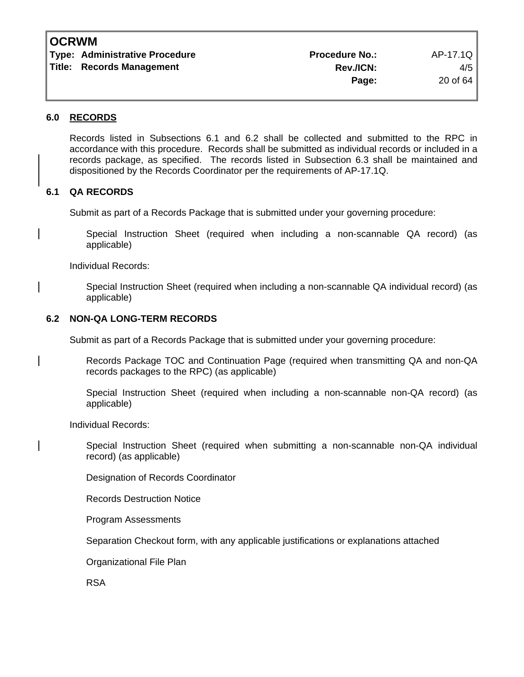| <b>Type: Administrative Procedure</b> | <b>Procedure No.:</b> | AP-17.1Q |
|---------------------------------------|-----------------------|----------|
| <b>Title: Records Management</b>      | <b>Rev./ICN:</b>      | $4/5$    |
|                                       | Page:                 | 20 of 64 |

#### **6.0 RECORDS**

Records listed in Subsections 6.1 and 6.2 shall be collected and submitted to the RPC in accordance with this procedure. Records shall be submitted as individual records or included in a records package, as specified. The records listed in Subsection 6.3 shall be maintained and dispositioned by the Records Coordinator per the requirements of AP-17.1Q.

#### **6.1 QA RECORDS**

Submit as part of a Records Package that is submitted under your governing procedure:

Special Instruction Sheet (required when including a non-scannable QA record) (as applicable)

Individual Records:

Special Instruction Sheet (required when including a non-scannable QA individual record) (as applicable)

#### **6.2 NON-QA LONG-TERM RECORDS**

Submit as part of a Records Package that is submitted under your governing procedure:

Records Package TOC and Continuation Page (required when transmitting QA and non-QA records packages to the RPC) (as applicable)

Special Instruction Sheet (required when including a non-scannable non-QA record) (as applicable)

Individual Records:

Special Instruction Sheet (required when submitting a non-scannable non-QA individual record) (as applicable)

Designation of Records Coordinator

Records Destruction Notice

Program Assessments

Separation Checkout form, with any applicable justifications or explanations attached

Organizational File Plan

RSA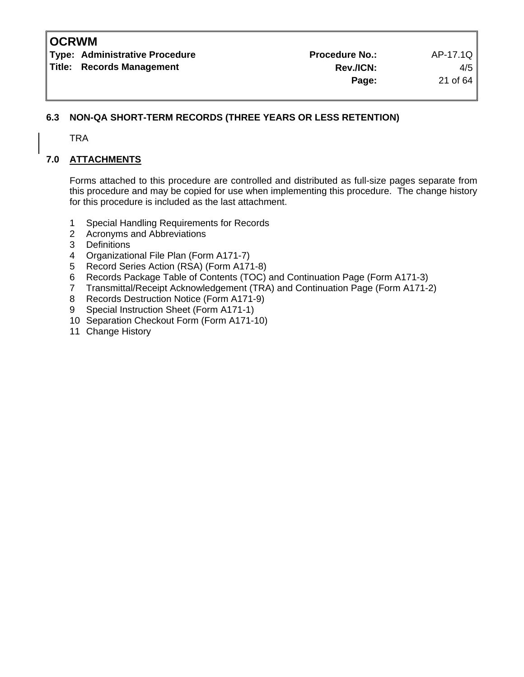**Type: Administrative Procedure Community Procedure Procedure No.:** AP-17.1Q Title: Records Management 4/5

### **6.3 NON-QA SHORT-TERM RECORDS (THREE YEARS OR LESS RETENTION)**

TRA

### **7.0 ATTACHMENTS**

Forms attached to this procedure are controlled and distributed as full-size pages separate from this procedure and may be copied for use when implementing this procedure. The change history for this procedure is included as the last attachment.

- 1 Special Handling Requirements for Records
- 2 Acronyms and Abbreviations
- 3 Definitions
- 4 Organizational File Plan (Form A171-7)
- 5 Record Series Action (RSA) (Form A171-8)
- 6 Records Package Table of Contents (TOC) and Continuation Page (Form A171-3)
- 7 Transmittal/Receipt Acknowledgement (TRA) and Continuation Page (Form A171-2)
- 8 Records Destruction Notice (Form A171-9)
- 9 Special Instruction Sheet (Form A171-1)
- 10 Separation Checkout Form (Form A171-10)
- 11 Change History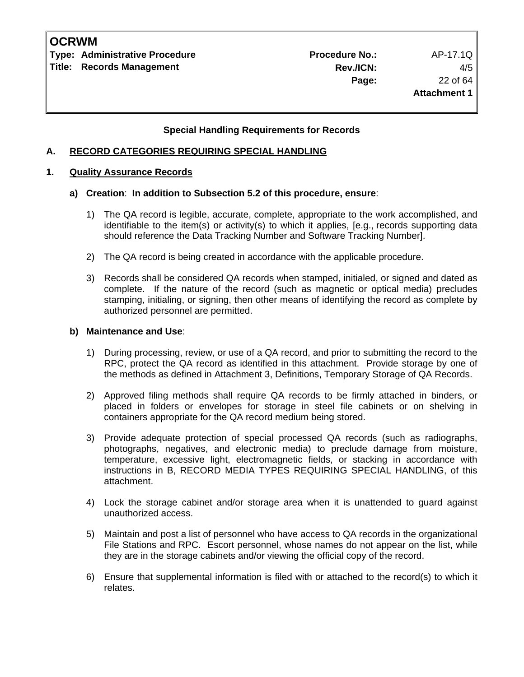**Type: Administrative Procedure Administrative Procedure Procedure No.:** AP-17.1Q **Title: Records Management** 

### **Special Handling Requirements for Records**

#### **A. RECORD CATEGORIES REQUIRING SPECIAL HANDLING**

#### **1. Quality Assurance Records**

#### **a) Creation**: **In addition to Subsection 5.2 of this procedure, ensure**:

- 1) The QA record is legible, accurate, complete, appropriate to the work accomplished, and identifiable to the item(s) or activity(s) to which it applies, [e.g., records supporting data should reference the Data Tracking Number and Software Tracking Number].
- 2) The QA record is being created in accordance with the applicable procedure.
- 3) Records shall be considered QA records when stamped, initialed, or signed and dated as complete. If the nature of the record (such as magnetic or optical media) precludes stamping, initialing, or signing, then other means of identifying the record as complete by authorized personnel are permitted.

#### **b) Maintenance and Use**:

- 1) During processing, review, or use of a QA record, and prior to submitting the record to the RPC, protect the QA record as identified in this attachment. Provide storage by one of the methods as defined in Attachment 3, Definitions, Temporary Storage of QA Records.
- 2) Approved filing methods shall require QA records to be firmly attached in binders, or placed in folders or envelopes for storage in steel file cabinets or on shelving in containers appropriate for the QA record medium being stored.
- 3) Provide adequate protection of special processed QA records (such as radiographs, photographs, negatives, and electronic media) to preclude damage from moisture, temperature, excessive light, electromagnetic fields, or stacking in accordance with instructions in B, RECORD MEDIA TYPES REQUIRING SPECIAL HANDLING, of this attachment.
- 4) Lock the storage cabinet and/or storage area when it is unattended to guard against unauthorized access.
- 5) Maintain and post a list of personnel who have access to QA records in the organizational File Stations and RPC. Escort personnel, whose names do not appear on the list, while they are in the storage cabinets and/or viewing the official copy of the record.
- 6) Ensure that supplemental information is filed with or attached to the record(s) to which it relates.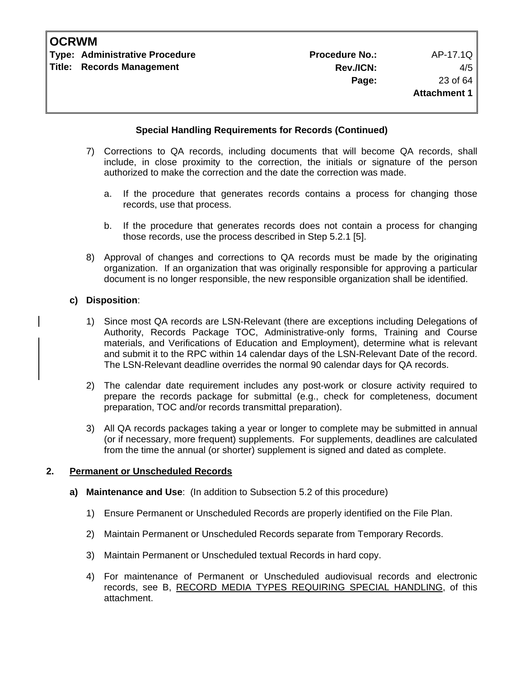#### **Special Handling Requirements for Records (Continued)**

- 7) Corrections to QA records, including documents that will become QA records, shall include, in close proximity to the correction, the initials or signature of the person authorized to make the correction and the date the correction was made.
	- a. If the procedure that generates records contains a process for changing those records, use that process.
	- b. If the procedure that generates records does not contain a process for changing those records, use the process described in Step 5.2.1 [5].
- 8) Approval of changes and corrections to QA records must be made by the originating organization. If an organization that was originally responsible for approving a particular document is no longer responsible, the new responsible organization shall be identified.

#### **c) Disposition**:

- 1) Since most QA records are LSN-Relevant (there are exceptions including Delegations of Authority, Records Package TOC, Administrative-only forms, Training and Course materials, and Verifications of Education and Employment), determine what is relevant and submit it to the RPC within 14 calendar days of the LSN-Relevant Date of the record. The LSN-Relevant deadline overrides the normal 90 calendar days for QA records.
- 2) The calendar date requirement includes any post-work or closure activity required to prepare the records package for submittal (e.g., check for completeness, document preparation, TOC and/or records transmittal preparation).
- 3) All QA records packages taking a year or longer to complete may be submitted in annual (or if necessary, more frequent) supplements. For supplements, deadlines are calculated from the time the annual (or shorter) supplement is signed and dated as complete.

#### **2. Permanent or Unscheduled Records**

- **a) Maintenance and Use**: (In addition to Subsection 5.2 of this procedure)
	- 1) Ensure Permanent or Unscheduled Records are properly identified on the File Plan.
	- 2) Maintain Permanent or Unscheduled Records separate from Temporary Records.
	- 3) Maintain Permanent or Unscheduled textual Records in hard copy.
	- 4) For maintenance of Permanent or Unscheduled audiovisual records and electronic records, see B, RECORD MEDIA TYPES REQUIRING SPECIAL HANDLING, of this attachment.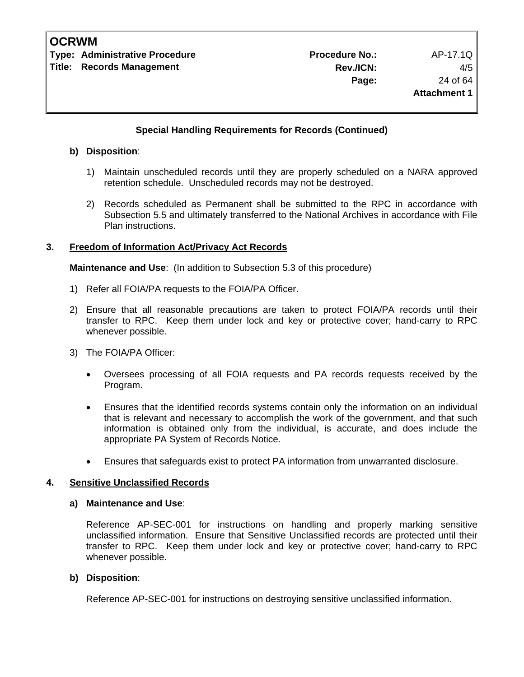**Type: Administrative Procedure No.: Procedure No.:** AP-17.1Q **Title: Records Management** 

### **Special Handling Requirements for Records (Continued)**

#### **b) Disposition**:

- 1) Maintain unscheduled records until they are properly scheduled on a NARA approved retention schedule. Unscheduled records may not be destroyed.
- 2) Records scheduled as Permanent shall be submitted to the RPC in accordance with Subsection 5.5 and ultimately transferred to the National Archives in accordance with File Plan instructions.

#### **3. Freedom of Information Act/Privacy Act Records**

**Maintenance and Use**: (In addition to Subsection 5.3 of this procedure)

- 1) Refer all FOIA/PA requests to the FOIA/PA Officer.
- 2) Ensure that all reasonable precautions are taken to protect FOIA/PA records until their transfer to RPC. Keep them under lock and key or protective cover; hand-carry to RPC whenever possible.
- 3) The FOIA/PA Officer:
	- Oversees processing of all FOIA requests and PA records requests received by the Program.
	- Ensures that the identified records systems contain only the information on an individual that is relevant and necessary to accomplish the work of the government, and that such information is obtained only from the individual, is accurate, and does include the appropriate PA System of Records Notice.
	- Ensures that safeguards exist to protect PA information from unwarranted disclosure.

#### **4. Sensitive Unclassified Records**

#### **a) Maintenance and Use**:

 Reference AP-SEC-001 for instructions on handling and properly marking sensitive unclassified information. Ensure that Sensitive Unclassified records are protected until their transfer to RPC. Keep them under lock and key or protective cover; hand-carry to RPC whenever possible.

#### **b) Disposition**:

Reference AP-SEC-001 for instructions on destroying sensitive unclassified information.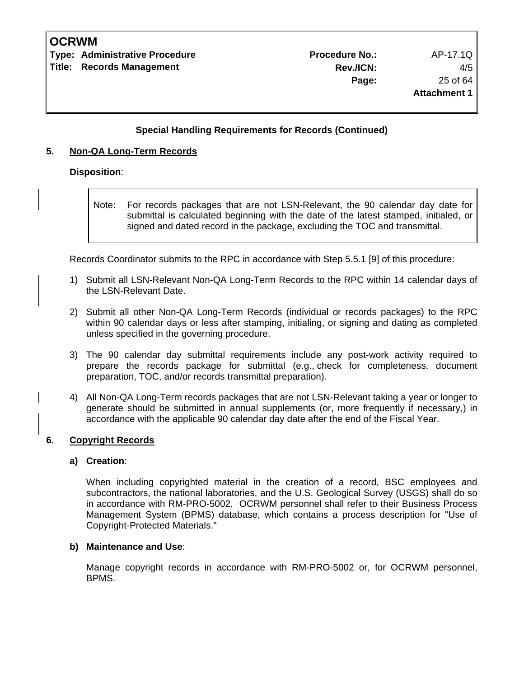**Type: Administrative Procedure No.: Procedure No.:** AP-17.1Q **Title: Records Management** 

#### **Special Handling Requirements for Records (Continued)**

#### **5. Non-QA Long-Term Records**

#### **Disposition**:

Note: For records packages that are not LSN-Relevant, the 90 calendar day date for submittal is calculated beginning with the date of the latest stamped, initialed, or signed and dated record in the package, excluding the TOC and transmittal.

Records Coordinator submits to the RPC in accordance with Step 5.5.1 [9] of this procedure:

- 1) Submit all LSN-Relevant Non-QA Long-Term Records to the RPC within 14 calendar days of the LSN-Relevant Date.
- 2) Submit all other Non-QA Long-Term Records (individual or records packages) to the RPC within 90 calendar days or less after stamping, initialing, or signing and dating as completed unless specified in the governing procedure.
- 3) The 90 calendar day submittal requirements include any post-work activity required to prepare the records package for submittal (e.g., check for completeness, document preparation, TOC, and/or records transmittal preparation).
- 4) All Non-QA Long-Term records packages that are not LSN-Relevant taking a year or longer to generate should be submitted in annual supplements (or, more frequently if necessary,) in accordance with the applicable 90 calendar day date after the end of the Fiscal Year.

#### **6. Copyright Records**

#### **a) Creation**:

 When including copyrighted material in the creation of a record, BSC employees and subcontractors, the national laboratories, and the U.S. Geological Survey (USGS) shall do so in accordance with RM-PRO-5002. OCRWM personnel shall refer to their Business Process Management System (BPMS) database, which contains a process description for "Use of Copyright-Protected Materials."

#### **b) Maintenance and Use**:

 Manage copyright records in accordance with RM-PRO-5002 or, for OCRWM personnel, BPMS.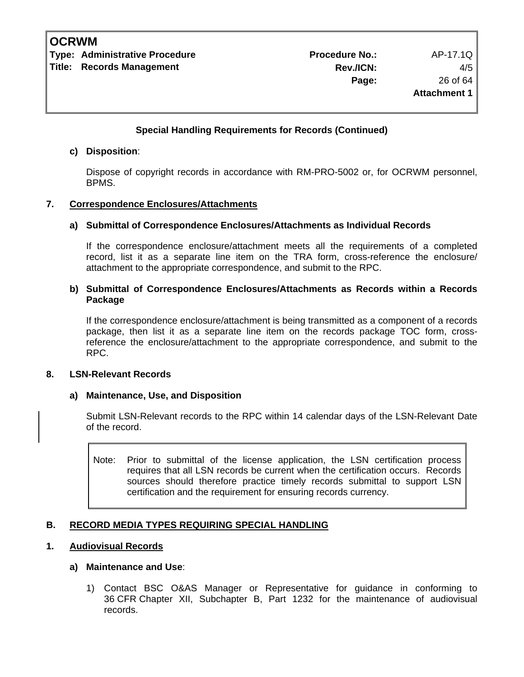**Type: Administrative Procedure Community Procedure Procedure No.:** AP-17.1Q **Title: Records Management** 

#### **Special Handling Requirements for Records (Continued)**

#### **c) Disposition**:

 Dispose of copyright records in accordance with RM-PRO-5002 or, for OCRWM personnel, BPMS.

#### **7. Correspondence Enclosures/Attachments**

#### **a) Submittal of Correspondence Enclosures/Attachments as Individual Records**

 If the correspondence enclosure/attachment meets all the requirements of a completed record, list it as a separate line item on the TRA form, cross-reference the enclosure/ attachment to the appropriate correspondence, and submit to the RPC.

#### **b) Submittal of Correspondence Enclosures/Attachments as Records within a Records Package**

 If the correspondence enclosure/attachment is being transmitted as a component of a records package, then list it as a separate line item on the records package TOC form, crossreference the enclosure/attachment to the appropriate correspondence, and submit to the RPC.

#### **8. LSN-Relevant Records**

#### **a) Maintenance, Use, and Disposition**

 Submit LSN-Relevant records to the RPC within 14 calendar days of the LSN-Relevant Date of the record.

Note: Prior to submittal of the license application, the LSN certification process requires that all LSN records be current when the certification occurs. Records sources should therefore practice timely records submittal to support LSN certification and the requirement for ensuring records currency.

#### **B. RECORD MEDIA TYPES REQUIRING SPECIAL HANDLING**

#### **1. Audiovisual Records**

#### **a) Maintenance and Use**:

 1) Contact BSC O&AS Manager or Representative for guidance in conforming to 36 CFR Chapter XII, Subchapter B, Part 1232 for the maintenance of audiovisual records.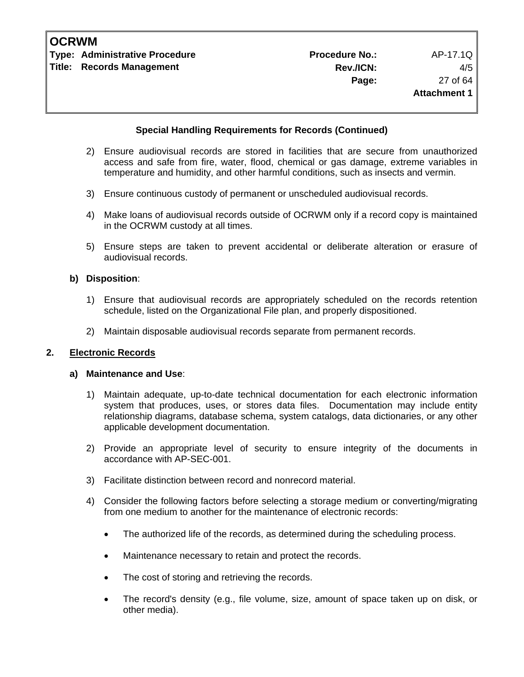#### **Special Handling Requirements for Records (Continued)**

- 2) Ensure audiovisual records are stored in facilities that are secure from unauthorized access and safe from fire, water, flood, chemical or gas damage, extreme variables in temperature and humidity, and other harmful conditions, such as insects and vermin.
- 3) Ensure continuous custody of permanent or unscheduled audiovisual records.
- 4) Make loans of audiovisual records outside of OCRWM only if a record copy is maintained in the OCRWM custody at all times.
- 5) Ensure steps are taken to prevent accidental or deliberate alteration or erasure of audiovisual records.

#### **b) Disposition**:

- 1) Ensure that audiovisual records are appropriately scheduled on the records retention schedule, listed on the Organizational File plan, and properly dispositioned.
- 2) Maintain disposable audiovisual records separate from permanent records.

#### **2. Electronic Records**

#### **a) Maintenance and Use**:

- 1) Maintain adequate, up-to-date technical documentation for each electronic information system that produces, uses, or stores data files. Documentation may include entity relationship diagrams, database schema, system catalogs, data dictionaries, or any other applicable development documentation.
- 2) Provide an appropriate level of security to ensure integrity of the documents in accordance with AP-SEC-001.
- 3) Facilitate distinction between record and nonrecord material.
- 4) Consider the following factors before selecting a storage medium or converting/migrating from one medium to another for the maintenance of electronic records:
	- The authorized life of the records, as determined during the scheduling process.
	- Maintenance necessary to retain and protect the records.
	- The cost of storing and retrieving the records.
	- The record's density (e.g., file volume, size, amount of space taken up on disk, or other media).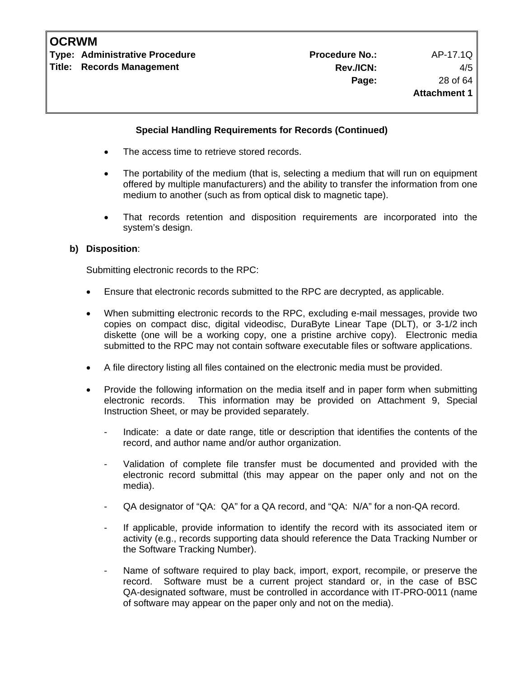**Title: Records Management** 

#### **Special Handling Requirements for Records (Continued)**

- The access time to retrieve stored records.
- The portability of the medium (that is, selecting a medium that will run on equipment offered by multiple manufacturers) and the ability to transfer the information from one medium to another (such as from optical disk to magnetic tape).
- That records retention and disposition requirements are incorporated into the system's design.

#### **b) Disposition**:

Submitting electronic records to the RPC:

- Ensure that electronic records submitted to the RPC are decrypted, as applicable.
- When submitting electronic records to the RPC, excluding e-mail messages, provide two copies on compact disc, digital videodisc, DuraByte Linear Tape (DLT), or 3-1/2 inch diskette (one will be a working copy, one a pristine archive copy). Electronic media submitted to the RPC may not contain software executable files or software applications.
- A file directory listing all files contained on the electronic media must be provided.
- Provide the following information on the media itself and in paper form when submitting electronic records. This information may be provided on Attachment 9, Special Instruction Sheet, or may be provided separately.
	- Indicate: a date or date range, title or description that identifies the contents of the record, and author name and/or author organization.
	- Validation of complete file transfer must be documented and provided with the electronic record submittal (this may appear on the paper only and not on the media).
	- QA designator of "QA: QA" for a QA record, and "QA: N/A" for a non-QA record.
	- If applicable, provide information to identify the record with its associated item or activity (e.g., records supporting data should reference the Data Tracking Number or the Software Tracking Number).
	- Name of software required to play back, import, export, recompile, or preserve the record. Software must be a current project standard or, in the case of BSC QA-designated software, must be controlled in accordance with IT-PRO-0011 (name of software may appear on the paper only and not on the media).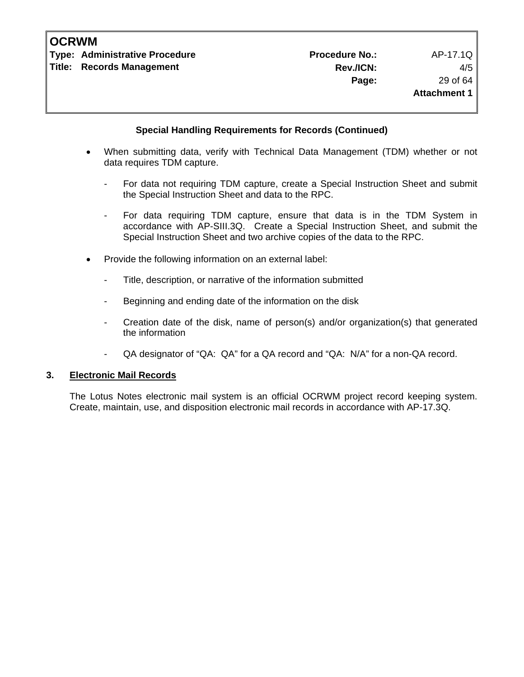**Type: Administrative Procedure Administrative Procedure Procedure No.:** AP-17.1Q **Title: Records Management** 

#### **Special Handling Requirements for Records (Continued)**

- When submitting data, verify with Technical Data Management (TDM) whether or not data requires TDM capture.
	- For data not requiring TDM capture, create a Special Instruction Sheet and submit the Special Instruction Sheet and data to the RPC.
	- For data requiring TDM capture, ensure that data is in the TDM System in accordance with AP-SIII.3Q. Create a Special Instruction Sheet, and submit the Special Instruction Sheet and two archive copies of the data to the RPC.
- Provide the following information on an external label:
	- Title, description, or narrative of the information submitted
	- Beginning and ending date of the information on the disk
	- Creation date of the disk, name of person(s) and/or organization(s) that generated the information
	- QA designator of "QA: QA" for a QA record and "QA: N/A" for a non-QA record.

#### **3. Electronic Mail Records**

 The Lotus Notes electronic mail system is an official OCRWM project record keeping system. Create, maintain, use, and disposition electronic mail records in accordance with AP-17.3Q.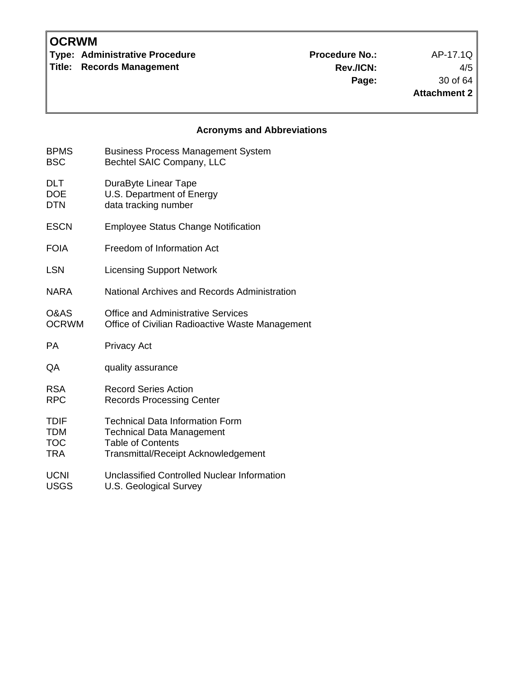**Type: Administrative Procedure No.:** Procedure No.: AP-17.1Q

**Title: Records Management** 

**Rev./ICN:** 4/5 **Page:** 30 of 64 **Attachment 2**

## **Acronyms and Abbreviations**

| <b>BPMS</b>  | <b>Business Process Management System</b>       |
|--------------|-------------------------------------------------|
| <b>BSC</b>   | Bechtel SAIC Company, LLC                       |
| <b>DLT</b>   | DuraByte Linear Tape                            |
| <b>DOE</b>   | U.S. Department of Energy                       |
| <b>DTN</b>   | data tracking number                            |
| <b>ESCN</b>  | <b>Employee Status Change Notification</b>      |
| <b>FOIA</b>  | Freedom of Information Act                      |
| <b>LSN</b>   | <b>Licensing Support Network</b>                |
| <b>NARA</b>  | National Archives and Records Administration    |
| O&AS         | <b>Office and Administrative Services</b>       |
| <b>OCRWM</b> | Office of Civilian Radioactive Waste Management |
| <b>PA</b>    | <b>Privacy Act</b>                              |
| QA           | quality assurance                               |
| <b>RSA</b>   | <b>Record Series Action</b>                     |
| <b>RPC</b>   | <b>Records Processing Center</b>                |
| <b>TDIF</b>  | <b>Technical Data Information Form</b>          |
| <b>TDM</b>   | <b>Technical Data Management</b>                |
| <b>TOC</b>   | <b>Table of Contents</b>                        |
| TRA          | <b>Transmittal/Receipt Acknowledgement</b>      |
| <b>UCNI</b>  | Unclassified Controlled Nuclear Information     |
| <b>USGS</b>  | U.S. Geological Survey                          |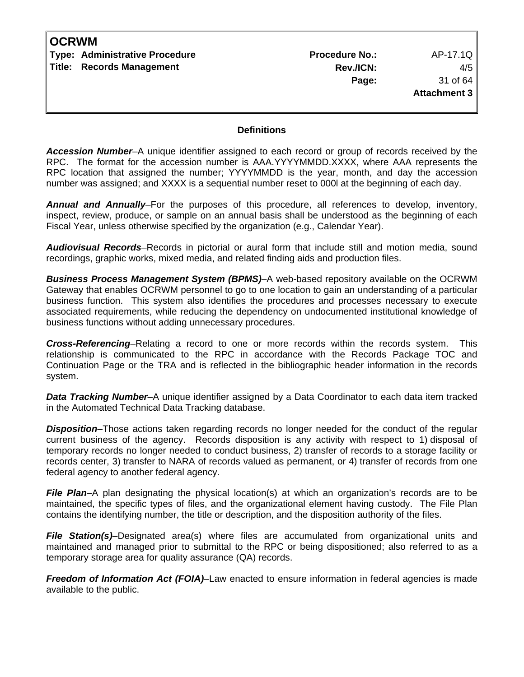| <b>OCRWM</b> |                                  |                       |                     |
|--------------|----------------------------------|-----------------------|---------------------|
|              | Type: Administrative Procedure   | <b>Procedure No.:</b> | AP-17.1Q            |
|              | <b>Title: Records Management</b> | Rev./ICN:             | 4/5                 |
|              |                                  | Page:                 | 31 of 64            |
|              |                                  |                       | <b>Attachment 3</b> |
|              |                                  |                       |                     |

#### **Definitions**

*Accession Number*–A unique identifier assigned to each record or group of records received by the RPC. The format for the accession number is AAA.YYYYMMDD.XXXX, where AAA represents the RPC location that assigned the number; YYYYMMDD is the year, month, and day the accession number was assigned; and XXXX is a sequential number reset to 000l at the beginning of each day.

*Annual and Annually*–For the purposes of this procedure, all references to develop, inventory, inspect, review, produce, or sample on an annual basis shall be understood as the beginning of each Fiscal Year, unless otherwise specified by the organization (e.g., Calendar Year).

*Audiovisual Records*–Records in pictorial or aural form that include still and motion media, sound recordings, graphic works, mixed media, and related finding aids and production files.

*Business Process Management System (BPMS)*–A web-based repository available on the OCRWM Gateway that enables OCRWM personnel to go to one location to gain an understanding of a particular business function. This system also identifies the procedures and processes necessary to execute associated requirements, while reducing the dependency on undocumented institutional knowledge of business functions without adding unnecessary procedures.

*Cross-Referencing*–Relating a record to one or more records within the records system. This relationship is communicated to the RPC in accordance with the Records Package TOC and Continuation Page or the TRA and is reflected in the bibliographic header information in the records system.

*Data Tracking Number*–A unique identifier assigned by a Data Coordinator to each data item tracked in the Automated Technical Data Tracking database.

*Disposition*–Those actions taken regarding records no longer needed for the conduct of the regular current business of the agency. Records disposition is any activity with respect to 1) disposal of temporary records no longer needed to conduct business, 2) transfer of records to a storage facility or records center, 3) transfer to NARA of records valued as permanent, or 4) transfer of records from one federal agency to another federal agency.

*File Plan*–A plan designating the physical location(s) at which an organization's records are to be maintained, the specific types of files, and the organizational element having custody. The File Plan contains the identifying number, the title or description, and the disposition authority of the files.

**File Station(s)-Designated area(s)** where files are accumulated from organizational units and maintained and managed prior to submittal to the RPC or being dispositioned; also referred to as a temporary storage area for quality assurance (QA) records.

*Freedom of Information Act (FOIA)*–Law enacted to ensure information in federal agencies is made available to the public.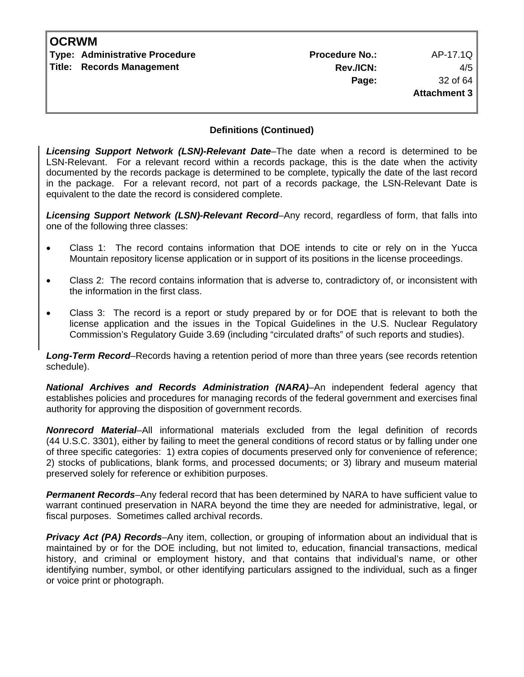| <b>OCRWM</b> |                                |                       |              |
|--------------|--------------------------------|-----------------------|--------------|
|              | Type: Administrative Procedure | <b>Procedure No.:</b> | AP-17.1Q     |
|              | Title: Records Management      | Rev./ICN:             | 4/5          |
|              |                                | Page:                 | 32 of 64     |
|              |                                |                       | Attachment 3 |
|              |                                |                       |              |

*Licensing Support Network (LSN)-Relevant Date*–The date when a record is determined to be LSN-Relevant. For a relevant record within a records package, this is the date when the activity documented by the records package is determined to be complete, typically the date of the last record in the package. For a relevant record, not part of a records package, the LSN-Relevant Date is equivalent to the date the record is considered complete.

*Licensing Support Network (LSN)-Relevant Record*–Any record, regardless of form, that falls into one of the following three classes:

- Class 1: The record contains information that DOE intends to cite or rely on in the Yucca Mountain repository license application or in support of its positions in the license proceedings.
- Class 2: The record contains information that is adverse to, contradictory of, or inconsistent with the information in the first class.
- Class 3: The record is a report or study prepared by or for DOE that is relevant to both the license application and the issues in the Topical Guidelines in the U.S. Nuclear Regulatory Commission's Regulatory Guide 3.69 (including "circulated drafts" of such reports and studies).

*Long-Term Record*–Records having a retention period of more than three years (see records retention schedule).

*National Archives and Records Administration (NARA)*–An independent federal agency that establishes policies and procedures for managing records of the federal government and exercises final authority for approving the disposition of government records.

*Nonrecord Material*–All informational materials excluded from the legal definition of records (44 U.S.C. 3301), either by failing to meet the general conditions of record status or by falling under one of three specific categories: 1) extra copies of documents preserved only for convenience of reference; 2) stocks of publications, blank forms, and processed documents; or 3) library and museum material preserved solely for reference or exhibition purposes.

*Permanent Records*–Any federal record that has been determined by NARA to have sufficient value to warrant continued preservation in NARA beyond the time they are needed for administrative, legal, or fiscal purposes. Sometimes called archival records.

**Privacy Act (PA) Records–Any** item, collection, or grouping of information about an individual that is maintained by or for the DOE including, but not limited to, education, financial transactions, medical history, and criminal or employment history, and that contains that individual's name, or other identifying number, symbol, or other identifying particulars assigned to the individual, such as a finger or voice print or photograph.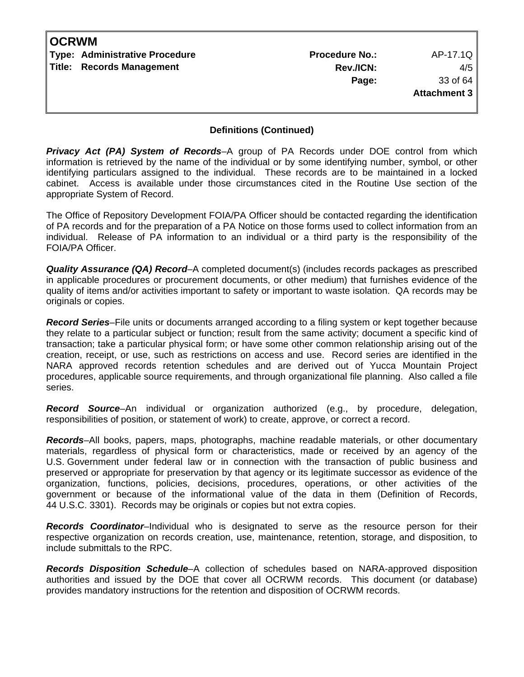| <b>OCRWM</b> |                                |                       |              |
|--------------|--------------------------------|-----------------------|--------------|
|              | Type: Administrative Procedure | <b>Procedure No.:</b> | AP-17.1Q     |
|              | Title: Records Management      | Rev./ICN:             | 4/5          |
|              |                                | Page:                 | 33 of 64     |
|              |                                |                       | Attachment 3 |
|              |                                |                       |              |

*Privacy Act (PA) System of Records*–A group of PA Records under DOE control from which information is retrieved by the name of the individual or by some identifying number, symbol, or other identifying particulars assigned to the individual. These records are to be maintained in a locked cabinet. Access is available under those circumstances cited in the Routine Use section of the appropriate System of Record.

The Office of Repository Development FOIA/PA Officer should be contacted regarding the identification of PA records and for the preparation of a PA Notice on those forms used to collect information from an individual. Release of PA information to an individual or a third party is the responsibility of the FOIA/PA Officer.

*Quality Assurance (QA) Record*–A completed document(s) (includes records packages as prescribed in applicable procedures or procurement documents, or other medium) that furnishes evidence of the quality of items and/or activities important to safety or important to waste isolation. QA records may be originals or copies.

*Record Series*–File units or documents arranged according to a filing system or kept together because they relate to a particular subject or function; result from the same activity; document a specific kind of transaction; take a particular physical form; or have some other common relationship arising out of the creation, receipt, or use, such as restrictions on access and use. Record series are identified in the NARA approved records retention schedules and are derived out of Yucca Mountain Project procedures, applicable source requirements, and through organizational file planning. Also called a file series.

*Record Source*–An individual or organization authorized (e.g., by procedure, delegation, responsibilities of position, or statement of work) to create, approve, or correct a record.

*Records*–All books, papers, maps, photographs, machine readable materials, or other documentary materials, regardless of physical form or characteristics, made or received by an agency of the U.S. Government under federal law or in connection with the transaction of public business and preserved or appropriate for preservation by that agency or its legitimate successor as evidence of the organization, functions, policies, decisions, procedures, operations, or other activities of the government or because of the informational value of the data in them (Definition of Records, 44 U.S.C. 3301). Records may be originals or copies but not extra copies.

*Records Coordinator*–Individual who is designated to serve as the resource person for their respective organization on records creation, use, maintenance, retention, storage, and disposition, to include submittals to the RPC.

*Records Disposition Schedule*–A collection of schedules based on NARA-approved disposition authorities and issued by the DOE that cover all OCRWM records. This document (or database) provides mandatory instructions for the retention and disposition of OCRWM records.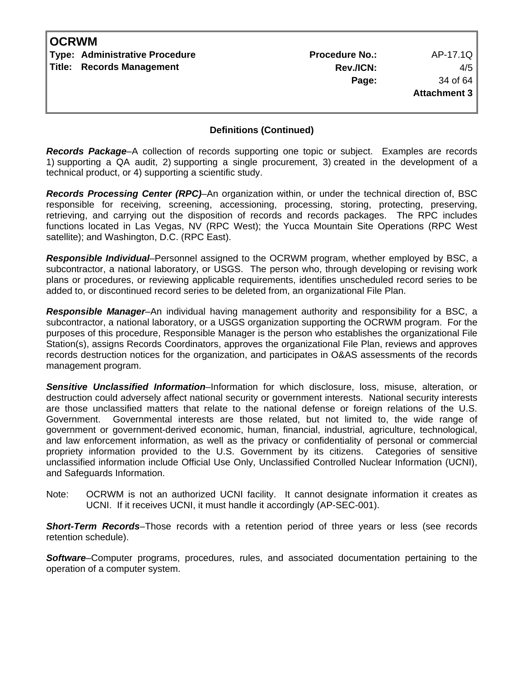| <b>OCRWM</b> |                                |                       |                     |
|--------------|--------------------------------|-----------------------|---------------------|
|              | Type: Administrative Procedure | <b>Procedure No.:</b> | AP-17.1Q            |
|              | Title: Records Management      | Rev./ICN:             | 4/5                 |
|              |                                | Page:                 | 34 of 64            |
|              |                                |                       | <b>Attachment 3</b> |
|              |                                |                       |                     |
|              |                                |                       |                     |

*Records Package*–A collection of records supporting one topic or subject. Examples are records 1) supporting a QA audit, 2) supporting a single procurement, 3) created in the development of a technical product, or 4) supporting a scientific study.

*Records Processing Center (RPC)*–An organization within, or under the technical direction of, BSC responsible for receiving, screening, accessioning, processing, storing, protecting, preserving, retrieving, and carrying out the disposition of records and records packages. The RPC includes functions located in Las Vegas, NV (RPC West); the Yucca Mountain Site Operations (RPC West satellite); and Washington, D.C. (RPC East).

*Responsible Individual*–Personnel assigned to the OCRWM program, whether employed by BSC, a subcontractor, a national laboratory, or USGS. The person who, through developing or revising work plans or procedures, or reviewing applicable requirements, identifies unscheduled record series to be added to, or discontinued record series to be deleted from, an organizational File Plan.

*Responsible Manager*–An individual having management authority and responsibility for a BSC, a subcontractor, a national laboratory, or a USGS organization supporting the OCRWM program. For the purposes of this procedure, Responsible Manager is the person who establishes the organizational File Station(s), assigns Records Coordinators, approves the organizational File Plan, reviews and approves records destruction notices for the organization, and participates in O&AS assessments of the records management program.

*Sensitive Unclassified Information*–Information for which disclosure, loss, misuse, alteration, or destruction could adversely affect national security or government interests. National security interests are those unclassified matters that relate to the national defense or foreign relations of the U.S. Government. Governmental interests are those related, but not limited to, the wide range of government or government-derived economic, human, financial, industrial, agriculture, technological, and law enforcement information, as well as the privacy or confidentiality of personal or commercial propriety information provided to the U.S. Government by its citizens. Categories of sensitive unclassified information include Official Use Only, Unclassified Controlled Nuclear Information (UCNI), and Safeguards Information.

Note: OCRWM is not an authorized UCNI facility. It cannot designate information it creates as UCNI. If it receives UCNI, it must handle it accordingly (AP-SEC-001).

*Short-Term Records*–Those records with a retention period of three years or less (see records retention schedule).

*Software*–Computer programs, procedures, rules, and associated documentation pertaining to the operation of a computer system.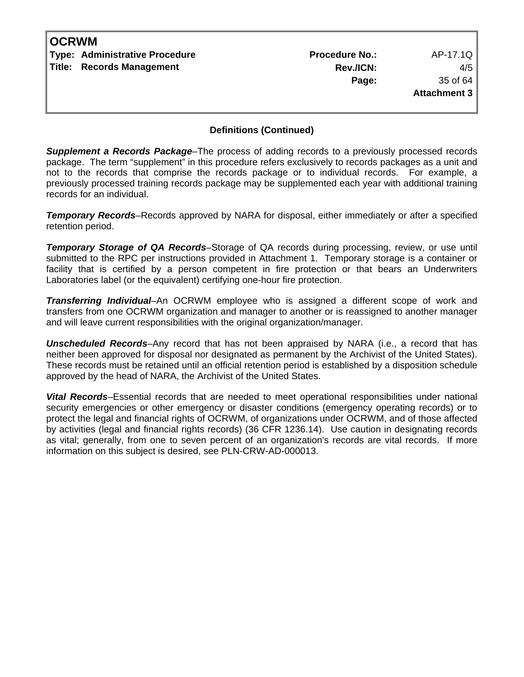| <b>OCRWM</b> |                                       |                       |                     |
|--------------|---------------------------------------|-----------------------|---------------------|
|              | <b>Type: Administrative Procedure</b> | <b>Procedure No.:</b> | AP-17.1Q            |
|              | Title: Records Management             | Rev./ICN:             | 4/5                 |
|              |                                       | Page:                 | 35 of 64            |
|              |                                       |                       | <b>Attachment 3</b> |
|              |                                       |                       |                     |

*Supplement a Records Package*–The process of adding records to a previously processed records package. The term "supplement" in this procedure refers exclusively to records packages as a unit and not to the records that comprise the records package or to individual records. For example, a previously processed training records package may be supplemented each year with additional training records for an individual.

**Temporary Records–Records** approved by NARA for disposal, either immediately or after a specified retention period.

*Temporary Storage of QA Records*–Storage of QA records during processing, review, or use until submitted to the RPC per instructions provided in Attachment 1. Temporary storage is a container or facility that is certified by a person competent in fire protection or that bears an Underwriters Laboratories label (or the equivalent) certifying one-hour fire protection.

*Transferring Individual*–An OCRWM employee who is assigned a different scope of work and transfers from one OCRWM organization and manager to another or is reassigned to another manager and will leave current responsibilities with the original organization/manager.

*Unscheduled Records*–Any record that has not been appraised by NARA (i.e., a record that has neither been approved for disposal nor designated as permanent by the Archivist of the United States). These records must be retained until an official retention period is established by a disposition schedule approved by the head of NARA, the Archivist of the United States.

*Vital Records*–Essential records that are needed to meet operational responsibilities under national security emergencies or other emergency or disaster conditions (emergency operating records) or to protect the legal and financial rights of OCRWM, of organizations under OCRWM, and of those affected by activities (legal and financial rights records) (36 CFR 1236.14). Use caution in designating records as vital; generally, from one to seven percent of an organization's records are vital records. If more information on this subject is desired, see PLN-CRW-AD-000013.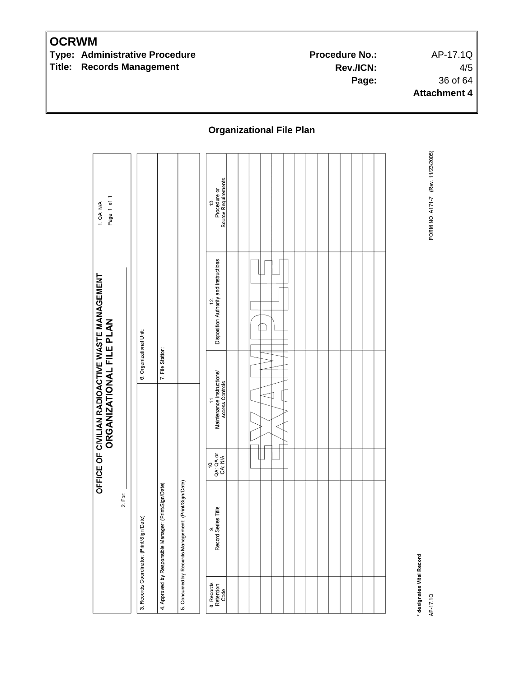**Type: Administrative Procedure Community Procedure Procedure No.:** AP-17.1Q **Title: Records Management** 

**Rev./ICN:** 4/5 **Page:** 36 of 64 **Attachment 4**

**Organizational File Plan** 

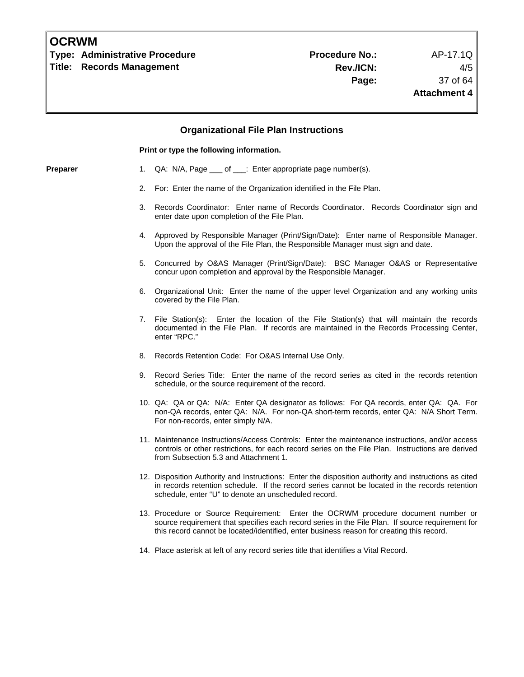**Type: Administrative Procedure No.: Procedure No.:** AP-17.1Q **Title: Records Management** 

## **Organizational File Plan Instructions Print or type the following information. Preparer** 1. QA: N/A, Page \_\_\_ of \_\_\_: Enter appropriate page number(s). 2. For: Enter the name of the Organization identified in the File Plan. 3. Records Coordinator: Enter name of Records Coordinator. Records Coordinator sign and enter date upon completion of the File Plan. 4. Approved by Responsible Manager (Print/Sign/Date): Enter name of Responsible Manager. Upon the approval of the File Plan, the Responsible Manager must sign and date. 5. Concurred by O&AS Manager (Print/Sign/Date): BSC Manager O&AS or Representative concur upon completion and approval by the Responsible Manager. 6. Organizational Unit: Enter the name of the upper level Organization and any working units covered by the File Plan. 7. File Station(s): Enter the location of the File Station(s) that will maintain the records documented in the File Plan. If records are maintained in the Records Processing Center, enter "RPC." 8. Records Retention Code: For O&AS Internal Use Only. 9. Record Series Title: Enter the name of the record series as cited in the records retention schedule, or the source requirement of the record. 10. QA: QA or QA: N/A: Enter QA designator as follows: For QA records, enter QA: QA. For non-QA records, enter QA: N/A. For non-QA short-term records, enter QA: N/A Short Term. For non-records, enter simply N/A. 11. Maintenance Instructions/Access Controls: Enter the maintenance instructions, and/or access controls or other restrictions, for each record series on the File Plan. Instructions are derived from Subsection 5.3 and Attachment 1. 12. Disposition Authority and Instructions: Enter the disposition authority and instructions as cited in records retention schedule. If the record series cannot be located in the records retention schedule, enter "U" to denote an unscheduled record. 13. Procedure or Source Requirement: Enter the OCRWM procedure document number or source requirement that specifies each record series in the File Plan. If source requirement for this record cannot be located/identified, enter business reason for creating this record. 14. Place asterisk at left of any record series title that identifies a Vital Record.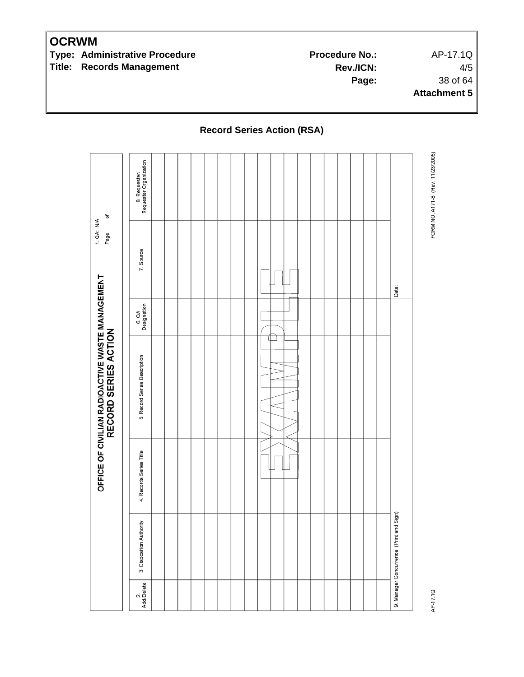**Type: Administrative Procedure No.:** Procedure No.: AP-17.1Q **Title: Records Management** 

**Rev./ICN:** 4/5 **Page:** 38 of 64 **Attachment 5**

FORM NO. A171-8 (Rev. 11/23/2005) 8. Requester/<br>Requester Organization ð 1. QA: N/A Page 7. Source OFFICE OF CIVILIAN RADIOACTIVE WASTE MANAGEMENT<br>RECORD SERIES ACTION Date: 6.QA<br>Designation  $\rightarrow$ 5. Record Series Description 4. Records Series Title 9. Manager Concurrence: (Print and Sign) 3. Disposition Authority 2.<br>Add/Delete AP-17.1Q

### **Record Series Action (RSA)**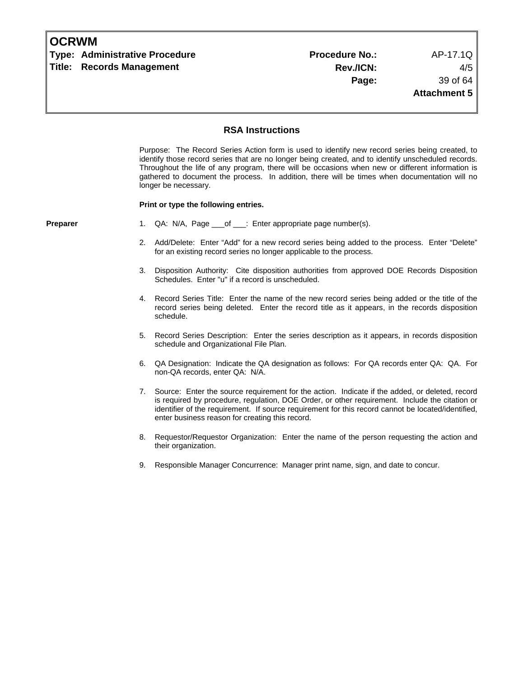|  | <b>OCRWM</b> |
|--|--------------|
|--|--------------|

**Type: Administrative Procedure Access 20 Contract Procedure No.:** AP-17.1Q **Title: Records Management** 

#### **RSA Instructions**

Purpose: The Record Series Action form is used to identify new record series being created, to identify those record series that are no longer being created, and to identify unscheduled records. Throughout the life of any program, there will be occasions when new or different information is gathered to document the process. In addition, there will be times when documentation will no longer be necessary.

#### **Print or type the following entries.**

- **Preparer** 1. QA: N/A, Page \_\_\_of \_\_\_: Enter appropriate page number(s).
	- 2. Add/Delete: Enter "Add" for a new record series being added to the process. Enter "Delete" for an existing record series no longer applicable to the process.
	- 3. Disposition Authority: Cite disposition authorities from approved DOE Records Disposition Schedules. Enter "u" if a record is unscheduled.
	- 4. Record Series Title: Enter the name of the new record series being added or the title of the record series being deleted. Enter the record title as it appears, in the records disposition schedule.
	- 5. Record Series Description: Enter the series description as it appears, in records disposition schedule and Organizational File Plan.
	- 6. QA Designation: Indicate the QA designation as follows: For QA records enter QA: QA. For non-QA records, enter QA: N/A.
	- 7. Source: Enter the source requirement for the action. Indicate if the added, or deleted, record is required by procedure, regulation, DOE Order, or other requirement. Include the citation or identifier of the requirement. If source requirement for this record cannot be located/identified, enter business reason for creating this record.
	- 8. Requestor/Requestor Organization: Enter the name of the person requesting the action and their organization.
	- 9. Responsible Manager Concurrence: Manager print name, sign, and date to concur.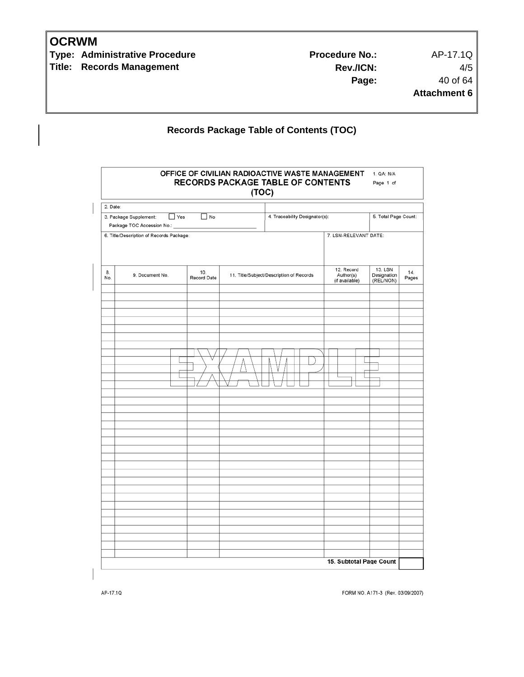**Type: Administrative Procedure No.:** Procedure No.: AP-17.1Q **Title: Records Management** 

**Rev./ICN:** 4/5 **Page:** 40 of 64 **Attachment 6**

## **Records Package Table of Contents (TOC)**

| 2. Date:  |                                                                    |                    |                                          |                                           |                                     |              |
|-----------|--------------------------------------------------------------------|--------------------|------------------------------------------|-------------------------------------------|-------------------------------------|--------------|
|           | 3. Package Supplement:<br>$\Box$ Yes<br>Package TOC Accession No.: | $\Box$ No          | 4. Traceability Designator(s):           |                                           | 5. Total Page Count:                |              |
|           | 6. Title/Description of Records Package:                           |                    |                                          | 7. LSN-RELEVANT DATE:                     |                                     |              |
| 8.<br>No. | 9. Document No.                                                    | 10.<br>Record Date | 11. Title/Subject/Description of Records | 12. Record<br>Author(s)<br>(if available) | 13. LSN<br>Designation<br>(REL/NON) | 14.<br>Pages |
|           |                                                                    |                    |                                          |                                           |                                     |              |
|           |                                                                    |                    |                                          |                                           |                                     |              |
|           |                                                                    |                    |                                          |                                           |                                     |              |
|           |                                                                    |                    |                                          |                                           |                                     |              |
|           |                                                                    |                    |                                          |                                           |                                     |              |
|           |                                                                    |                    |                                          |                                           |                                     |              |
|           |                                                                    |                    |                                          |                                           |                                     |              |
|           |                                                                    |                    |                                          |                                           |                                     |              |

FORM NO. A171-3 (Rev. 03/09/2007)

AP-17.1Q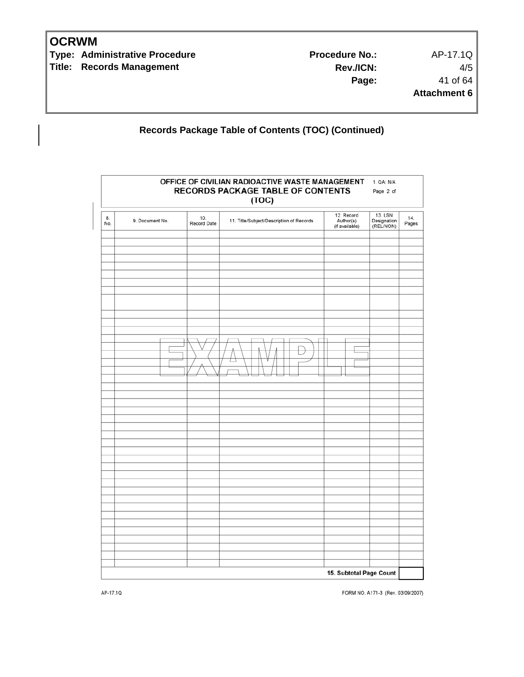**Type: Administrative Procedure No.:** Procedure No.: AP-17.1Q **Title: Records Management** 

**Rev./ICN:** 4/5 **Page:** 41 of 64 **Attachment 6**

## **Records Package Table of Contents (TOC) (Continued)**

| OFFICE OF CIVILIAN RADIOACTIVE WASTE MANAGEMENT<br>1. QA: N/A<br><b>RECORDS PACKAGE TABLE OF CONTENTS</b><br>Page 2 of<br>(TOC) |                 |                    |                                          |                                                                                  |              |
|---------------------------------------------------------------------------------------------------------------------------------|-----------------|--------------------|------------------------------------------|----------------------------------------------------------------------------------|--------------|
| 8.<br>No.                                                                                                                       | 9. Document No. | 10.<br>Record Date | 11. Title/Subject/Description of Records | 12. Record<br>13. LSN<br>Author(s)<br>Designation<br>(if available)<br>(REL/NON) | 14.<br>Pages |
|                                                                                                                                 |                 |                    |                                          |                                                                                  |              |
|                                                                                                                                 |                 |                    |                                          |                                                                                  |              |
|                                                                                                                                 |                 |                    |                                          |                                                                                  |              |
|                                                                                                                                 |                 |                    |                                          |                                                                                  |              |
|                                                                                                                                 |                 |                    |                                          |                                                                                  |              |
|                                                                                                                                 |                 |                    |                                          |                                                                                  |              |
|                                                                                                                                 |                 |                    |                                          |                                                                                  |              |
|                                                                                                                                 |                 |                    |                                          |                                                                                  |              |
|                                                                                                                                 |                 |                    |                                          |                                                                                  |              |
|                                                                                                                                 |                 |                    |                                          |                                                                                  |              |
|                                                                                                                                 |                 |                    |                                          |                                                                                  |              |
|                                                                                                                                 |                 |                    |                                          |                                                                                  |              |
|                                                                                                                                 |                 |                    |                                          |                                                                                  |              |
|                                                                                                                                 |                 |                    |                                          |                                                                                  |              |
|                                                                                                                                 |                 |                    |                                          |                                                                                  |              |
|                                                                                                                                 |                 |                    |                                          |                                                                                  |              |
|                                                                                                                                 |                 |                    |                                          | 15. Subtotal Page Count                                                          |              |

FORM NO. A171-3 (Rev. 03/09/2007)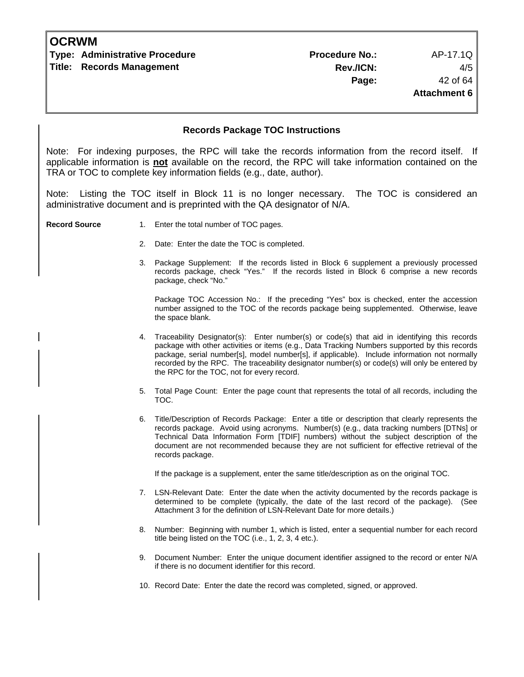#### **Records Package TOC Instructions**

Note: For indexing purposes, the RPC will take the records information from the record itself. If applicable information is **not** available on the record, the RPC will take information contained on the TRA or TOC to complete key information fields (e.g., date, author).

Listing the TOC itself in Block 11 is no longer necessary. The TOC is considered an administrative document and is preprinted with the QA designator of N/A.

- **Record Source** 1. Enter the total number of TOC pages.
	- 2. Date: Enter the date the TOC is completed.
	- 3. Package Supplement: If the records listed in Block 6 supplement a previously processed records package, check "Yes." If the records listed in Block 6 comprise a new records package, check "No."

 Package TOC Accession No.: If the preceding "Yes" box is checked, enter the accession number assigned to the TOC of the records package being supplemented. Otherwise, leave the space blank.

- 4. Traceability Designator(s): Enter number(s) or code(s) that aid in identifying this records package with other activities or items (e.g., Data Tracking Numbers supported by this records package, serial number[s], model number[s], if applicable). Include information not normally recorded by the RPC. The traceability designator number(s) or code(s) will only be entered by the RPC for the TOC, not for every record.
- 5. Total Page Count: Enter the page count that represents the total of all records, including the TOC.
- 6. Title/Description of Records Package: Enter a title or description that clearly represents the records package. Avoid using acronyms. Number(s) (e.g., data tracking numbers [DTNs] or Technical Data Information Form [TDIF] numbers) without the subject description of the document are not recommended because they are not sufficient for effective retrieval of the records package.

If the package is a supplement, enter the same title/description as on the original TOC.

- 7. LSN-Relevant Date: Enter the date when the activity documented by the records package is determined to be complete (typically, the date of the last record of the package). (See Attachment 3 for the definition of LSN-Relevant Date for more details.)
- 8. Number: Beginning with number 1, which is listed, enter a sequential number for each record title being listed on the TOC (i.e., 1, 2, 3, 4 etc.).
- 9. Document Number: Enter the unique document identifier assigned to the record or enter N/A if there is no document identifier for this record.
- 10. Record Date: Enter the date the record was completed, signed, or approved.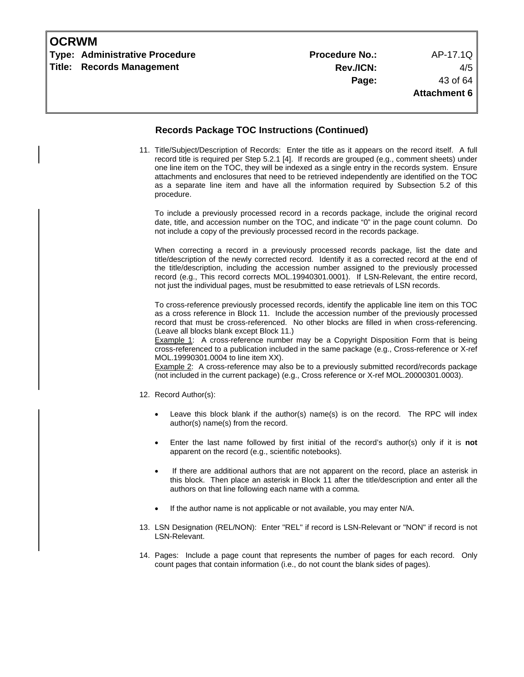| <b>Type: Administrative Procedure</b><br><b>Title: Records Management</b> |                                                                                  | <b>Procedure No.:</b><br>Rev./ICN:<br>Page:                                                                                                                                                                                                                                                                                                                                                                                                                                                                                                                                                                                                                                             | AP-17.1Q<br>4/5<br>43 of 64<br><b>Attachment 6</b> |
|---------------------------------------------------------------------------|----------------------------------------------------------------------------------|-----------------------------------------------------------------------------------------------------------------------------------------------------------------------------------------------------------------------------------------------------------------------------------------------------------------------------------------------------------------------------------------------------------------------------------------------------------------------------------------------------------------------------------------------------------------------------------------------------------------------------------------------------------------------------------------|----------------------------------------------------|
|                                                                           |                                                                                  | <b>Records Package TOC Instructions (Continued)</b>                                                                                                                                                                                                                                                                                                                                                                                                                                                                                                                                                                                                                                     |                                                    |
|                                                                           | procedure.                                                                       | 11. Title/Subject/Description of Records: Enter the title as it appears on the record itself. A full<br>record title is required per Step 5.2.1 [4]. If records are grouped (e.g., comment sheets) under<br>one line item on the TOC, they will be indexed as a single entry in the records system. Ensure<br>attachments and enclosures that need to be retrieved independently are identified on the TOC<br>as a separate line item and have all the information required by Subsection 5.2 of this                                                                                                                                                                                   |                                                    |
|                                                                           |                                                                                  | To include a previously processed record in a records package, include the original record<br>date, title, and accession number on the TOC, and indicate "0" in the page count column. Do<br>not include a copy of the previously processed record in the records package.                                                                                                                                                                                                                                                                                                                                                                                                              |                                                    |
|                                                                           |                                                                                  | When correcting a record in a previously processed records package, list the date and<br>title/description of the newly corrected record. Identify it as a corrected record at the end of<br>the title/description, including the accession number assigned to the previously processed<br>record (e.g., This record corrects MOL.19940301.0001). If LSN-Relevant, the entire record,<br>not just the individual pages, must be resubmitted to ease retrievals of LSN records.                                                                                                                                                                                                          |                                                    |
|                                                                           | (Leave all blocks blank except Block 11.)<br>MOL.19990301.0004 to line item XX). | To cross-reference previously processed records, identify the applicable line item on this TOC<br>as a cross reference in Block 11. Include the accession number of the previously processed<br>record that must be cross-referenced. No other blocks are filled in when cross-referencing.<br><b>Example 1:</b> A cross-reference number may be a Copyright Disposition Form that is being<br>cross-referenced to a publication included in the same package (e.g., Cross-reference or X-ref<br>Example 2: A cross-reference may also be to a previously submitted record/records package<br>(not included in the current package) (e.g., Cross reference or X-ref MOL.20000301.0003). |                                                    |
|                                                                           | 12. Record Author(s):                                                            |                                                                                                                                                                                                                                                                                                                                                                                                                                                                                                                                                                                                                                                                                         |                                                    |
|                                                                           | author(s) name(s) from the record.                                               | Leave this block blank if the author(s) name(s) is on the record. The RPC will index                                                                                                                                                                                                                                                                                                                                                                                                                                                                                                                                                                                                    |                                                    |
|                                                                           | $\bullet$                                                                        | Enter the last name followed by first initial of the record's author(s) only if it is not<br>apparent on the record (e.g., scientific notebooks).                                                                                                                                                                                                                                                                                                                                                                                                                                                                                                                                       |                                                    |
|                                                                           | $\bullet$                                                                        | If there are additional authors that are not apparent on the record, place an asterisk in<br>this block. Then place an asterisk in Block 11 after the title/description and enter all the<br>authors on that line following each name with a comma.                                                                                                                                                                                                                                                                                                                                                                                                                                     |                                                    |
|                                                                           | $\bullet$                                                                        | If the author name is not applicable or not available, you may enter N/A.                                                                                                                                                                                                                                                                                                                                                                                                                                                                                                                                                                                                               |                                                    |
|                                                                           | LSN-Relevant.                                                                    | 13. LSN Designation (REL/NON): Enter "REL" if record is LSN-Relevant or "NON" if record is not                                                                                                                                                                                                                                                                                                                                                                                                                                                                                                                                                                                          |                                                    |
|                                                                           |                                                                                  | 14. Pages: Include a page count that represents the number of pages for each record. Only<br>count pages that contain information (i.e., do not count the blank sides of pages).                                                                                                                                                                                                                                                                                                                                                                                                                                                                                                        |                                                    |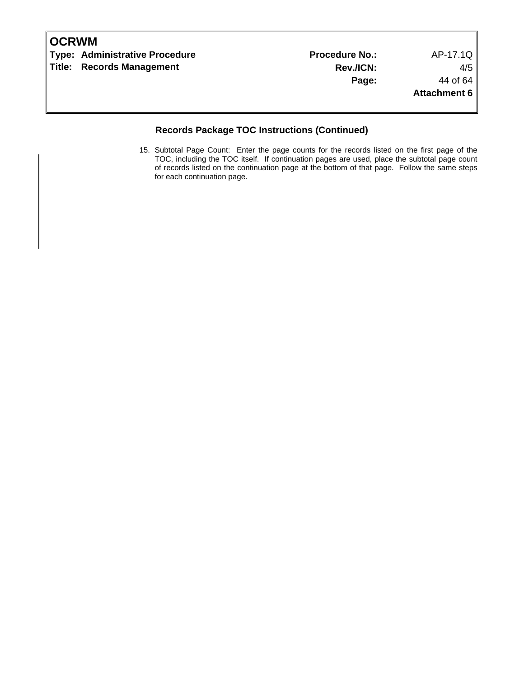| <b>IOCRWM</b> |                                |                       |                     |
|---------------|--------------------------------|-----------------------|---------------------|
|               | Type: Administrative Procedure | <b>Procedure No.:</b> | AP-17.1Q            |
|               | Title: Records Management      | Rev./ICN:             | 4/5                 |
|               |                                | Page:                 | 44 of 64            |
|               |                                |                       | <b>Attachment 6</b> |
|               |                                |                       |                     |

### **Records Package TOC Instructions (Continued)**

15. Subtotal Page Count: Enter the page counts for the records listed on the first page of the TOC, including the TOC itself. If continuation pages are used, place the subtotal page count of records listed on the continuation page at the bottom of that page. Follow the same steps for each continuation page.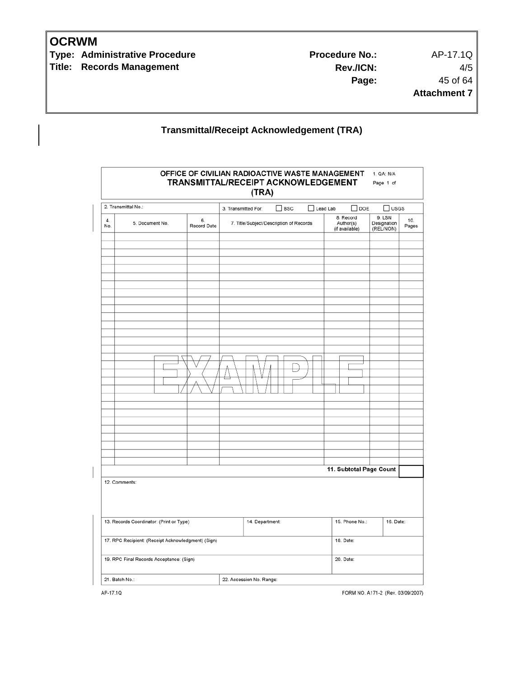**Type: Administrative Procedure No.:** Procedure No.: AP-17.1Q **Title: Records Management** 

**Rev./ICN:** 4/5 **Page:** 45 of 64 **Attachment 7**

## **Transmittal/Receipt Acknowledgement (TRA)**

|               | 2. Transmittal No.:                                |                   | 3. Transmitted For: | $\Box$ BSC                              | Lead Lab |           | $\Box$ DOE                               | $\Box$ usgs                        |              |
|---------------|----------------------------------------------------|-------------------|---------------------|-----------------------------------------|----------|-----------|------------------------------------------|------------------------------------|--------------|
| 4.<br>No.     | 5. Document No.                                    | 6.<br>Record Date |                     | 7. Title/Subject/Description of Records |          |           | 8. Record<br>Author(s)<br>(if available) | 9. LSN<br>Designation<br>(REL/NON) | 10.<br>Pages |
|               |                                                    |                   |                     |                                         |          |           |                                          |                                    |              |
|               |                                                    |                   |                     |                                         |          |           |                                          |                                    |              |
|               |                                                    |                   |                     |                                         |          |           |                                          |                                    |              |
|               |                                                    |                   |                     |                                         |          |           |                                          |                                    |              |
|               |                                                    |                   |                     |                                         |          |           |                                          |                                    |              |
|               |                                                    |                   |                     |                                         |          |           |                                          |                                    |              |
|               |                                                    |                   |                     |                                         |          |           |                                          |                                    |              |
|               |                                                    |                   |                     |                                         |          |           |                                          |                                    |              |
|               |                                                    |                   |                     |                                         |          |           |                                          |                                    |              |
|               |                                                    |                   |                     |                                         |          |           |                                          |                                    |              |
|               |                                                    |                   |                     |                                         |          |           |                                          |                                    |              |
|               |                                                    |                   |                     |                                         |          |           |                                          |                                    |              |
|               |                                                    |                   |                     |                                         |          |           |                                          |                                    |              |
|               |                                                    |                   |                     |                                         |          |           |                                          |                                    |              |
|               |                                                    |                   |                     |                                         |          |           |                                          |                                    |              |
|               |                                                    |                   |                     |                                         |          |           |                                          |                                    |              |
|               |                                                    |                   |                     |                                         |          |           |                                          |                                    |              |
|               |                                                    |                   |                     |                                         |          |           |                                          |                                    |              |
|               |                                                    |                   |                     |                                         |          |           |                                          | 11. Subtotal Page Count            |              |
| 12. Comments: |                                                    |                   |                     |                                         |          |           |                                          |                                    |              |
|               |                                                    |                   |                     |                                         |          |           |                                          |                                    |              |
|               |                                                    |                   |                     |                                         |          |           |                                          |                                    |              |
|               | 13. Records Coordinator: (Print or Type)           |                   | 14. Department:     |                                         |          |           | 15. Phone No.:                           | 16. Date:                          |              |
|               | 17. RPC Recipient: (Receipt Acknowledgment) (Sign) |                   |                     |                                         |          | 18. Date: |                                          |                                    |              |
|               |                                                    |                   |                     |                                         |          |           |                                          |                                    |              |
|               | 19. RPC Final Records Acceptance: (Sign)           |                   |                     |                                         |          | 20. Date: |                                          |                                    |              |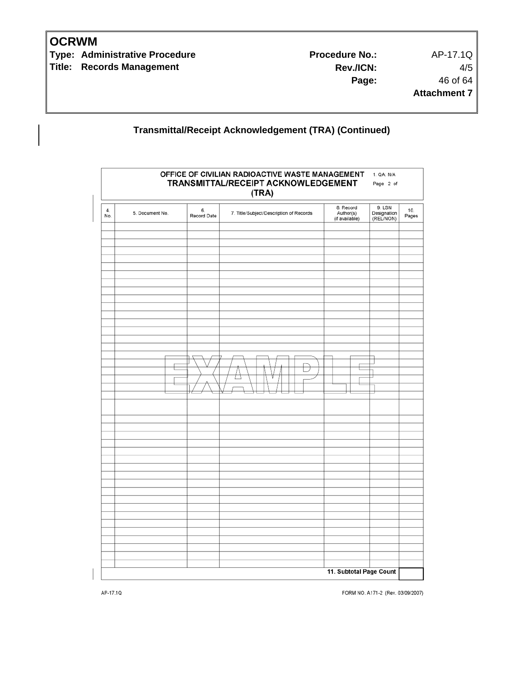**Type: Administrative Procedure No.:** Procedure No.: AP-17.1Q **Title: Records Management** 

**Rev./ICN:** 4/5 **Page:** 46 of 64 **Attachment 7**

## **Transmittal/Receipt Acknowledgement (TRA) (Continued)**

|           |                 |                   | OFFICE OF CIVILIAN RADIOACTIVE WASTE MANAGEMENT<br>TRANSMITTAL/RECEIPT ACKNOWLEDGEMENT<br>(TRA) |                                          | 1. QA: N/A<br>Page 2 of            |              |
|-----------|-----------------|-------------------|-------------------------------------------------------------------------------------------------|------------------------------------------|------------------------------------|--------------|
| 4.<br>No. | 5. Document No. | 6.<br>Record Date | 7. Title/Subject/Description of Records                                                         | 8. Record<br>Author(s)<br>(if available) | 9. LSN<br>Designation<br>(REL/NON) | 10.<br>Pages |
|           |                 |                   |                                                                                                 |                                          |                                    |              |
|           |                 |                   |                                                                                                 |                                          |                                    |              |
|           |                 |                   |                                                                                                 |                                          |                                    |              |
|           |                 |                   |                                                                                                 |                                          |                                    |              |
|           |                 |                   |                                                                                                 |                                          |                                    |              |
|           |                 |                   | U                                                                                               |                                          |                                    |              |
|           |                 |                   |                                                                                                 |                                          |                                    |              |
|           |                 |                   |                                                                                                 |                                          |                                    |              |
|           |                 |                   |                                                                                                 |                                          |                                    |              |
|           |                 |                   |                                                                                                 |                                          |                                    |              |
|           |                 |                   |                                                                                                 |                                          |                                    |              |
|           |                 |                   |                                                                                                 |                                          |                                    |              |
|           |                 |                   |                                                                                                 | 11. Subtotal Page Count                  |                                    |              |

FORM NO. A171-2 (Rev. 03/09/2007)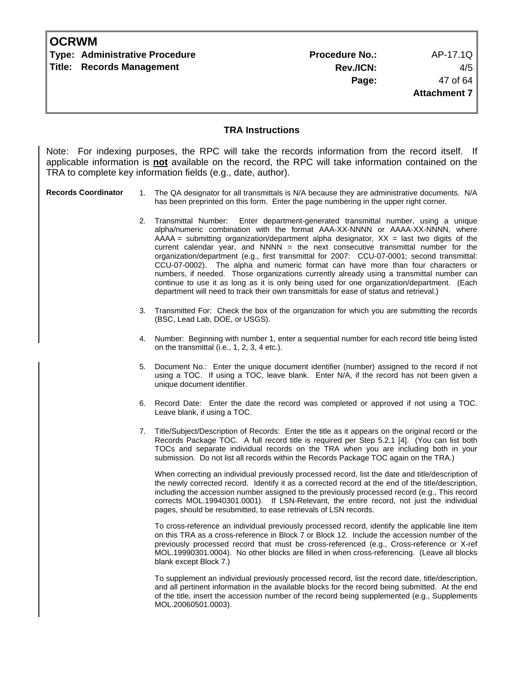| <b>OCRWM</b> |                                  |                       |                     |
|--------------|----------------------------------|-----------------------|---------------------|
|              | Type: Administrative Procedure   | <b>Procedure No.:</b> | AP-17.1Q            |
|              | <b>Title: Records Management</b> | Rev./ICN:             | 4/5                 |
|              |                                  | Page:                 | 47 of 64            |
|              |                                  |                       | <b>Attachment 7</b> |
|              |                                  |                       |                     |

#### **TRA Instructions**

Note: For indexing purposes, the RPC will take the records information from the record itself. If applicable information is **not** available on the record, the RPC will take information contained on the TRA to complete key information fields (e.g., date, author).

#### **Records Coordinator** 1. The QA designator for all transmittals is N/A because they are administrative documents. N/A has been preprinted on this form. Enter the page numbering in the upper right corner.

- 2. Transmittal Number: Enter department-generated transmittal number, using a unique alpha/numeric combination with the format AAA-XX-NNNN or AAAA-XX-NNNN, where  $AAAA =$  submitting organization/department alpha designator,  $XX =$  last two digits of the current calendar year, and NNNN  $=$  the next consecutive transmittal number for the organization/department (e.g., first transmittal for 2007: CCU-07-0001; second transmittal: CCU-07-0002). The alpha and numeric format can have more than four characters or numbers, if needed. Those organizations currently already using a transmittal number can continue to use it as long as it is only being used for one organization/department. (Each department will need to track their own transmittals for ease of status and retrieval.)
- 3. Transmitted For: Check the box of the organization for which you are submitting the records (BSC, Lead Lab, DOE, or USGS).
- 4. Number: Beginning with number 1, enter a sequential number for each record title being listed on the transmittal (i.e., 1, 2, 3, 4 etc.).
- 5. Document No.: Enter the unique document identifier (number) assigned to the record if not using a TOC. If using a TOC, leave blank. Enter N/A, if the record has not been given a unique document identifier.
- 6. Record Date: Enter the date the record was completed or approved if not using a TOC. Leave blank, if using a TOC.
- 7. Title/Subject/Description of Records: Enter the title as it appears on the original record or the Records Package TOC. A full record title is required per Step 5.2.1 [4]. (You can list both TOCs and separate individual records on the TRA when you are including both in your submission. Do not list all records within the Records Package TOC again on the TRA.)

When correcting an individual previously processed record, list the date and title/description of the newly corrected record. Identify it as a corrected record at the end of the title/description, including the accession number assigned to the previously processed record (e.g., This record corrects MOL.19940301.0001). If LSN-Relevant, the entire record, not just the individual pages, should be resubmitted, to ease retrievals of LSN records.

 To cross-reference an individual previously processed record, identify the applicable line item on this TRA as a cross-reference in Block 7 or Block 12. Include the accession number of the previously processed record that must be cross-referenced (e.g., Cross-reference or X-ref MOL.19990301.0004). No other blocks are filled in when cross-referencing. (Leave all blocks blank except Block 7.)

 To supplement an individual previously processed record, list the record date, title/description, and all pertinent information in the available blocks for the record being submitted. At the end of the title, insert the accession number of the record being supplemented (e.g., Supplements MOL.20060501.0003).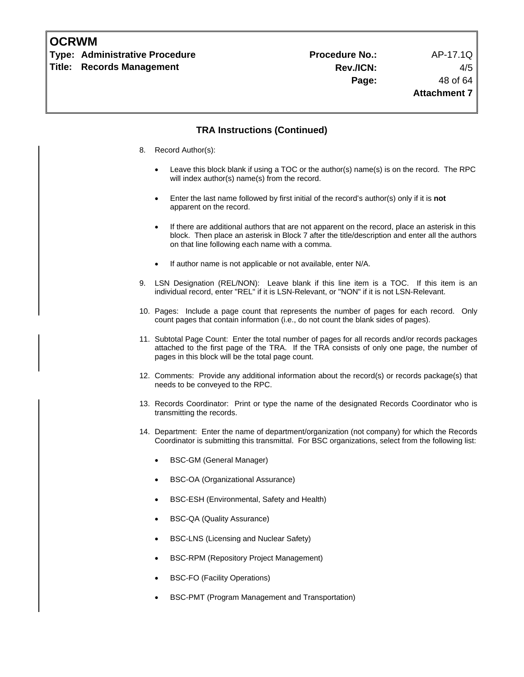| <b>OCRWM</b> |  |
|--------------|--|
|--------------|--|

**Type: Administrative Procedure Procedure No.:** AP-17.1Q **Title: Records Management** 

#### **TRA Instructions (Continued)**

- 8. Record Author(s):
	- Leave this block blank if using a TOC or the author(s) name(s) is on the record. The RPC will index author(s) name(s) from the record.
	- Enter the last name followed by first initial of the record's author(s) only if it is **not** apparent on the record.
	- If there are additional authors that are not apparent on the record, place an asterisk in this block. Then place an asterisk in Block 7 after the title/description and enter all the authors on that line following each name with a comma.
	- If author name is not applicable or not available, enter N/A.
- 9. LSN Designation (REL/NON): Leave blank if this line item is a TOC. If this item is an individual record, enter "REL" if it is LSN-Relevant, or "NON" if it is not LSN-Relevant.
- 10. Pages: Include a page count that represents the number of pages for each record. Only count pages that contain information (i.e., do not count the blank sides of pages).
- 11. Subtotal Page Count: Enter the total number of pages for all records and/or records packages attached to the first page of the TRA. If the TRA consists of only one page, the number of pages in this block will be the total page count.
- 12. Comments: Provide any additional information about the record(s) or records package(s) that needs to be conveyed to the RPC.
- 13. Records Coordinator: Print or type the name of the designated Records Coordinator who is transmitting the records.
- 14. Department: Enter the name of department/organization (not company) for which the Records Coordinator is submitting this transmittal. For BSC organizations, select from the following list:
	- BSC-GM (General Manager)
	- BSC-OA (Organizational Assurance)
	- BSC-ESH (Environmental, Safety and Health)
	- BSC-QA (Quality Assurance)
	- BSC-LNS (Licensing and Nuclear Safety)
	- BSC-RPM (Repository Project Management)
	- BSC-FO (Facility Operations)
	- BSC-PMT (Program Management and Transportation)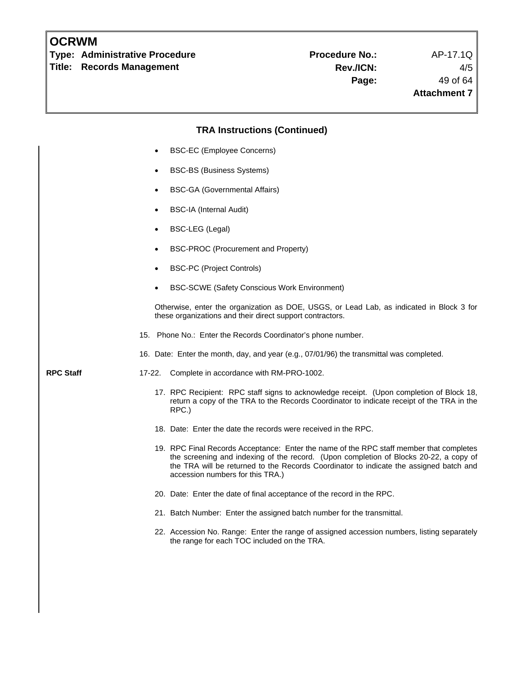**Type: Administrative Procedure No.: Procedure No.:** AP-17.1Q **Title: Records Management** 

# **TRA Instructions (Continued)**  • BSC-EC (Employee Concerns) • BSC-BS (Business Systems) • BSC-GA (Governmental Affairs) • BSC-IA (Internal Audit) • BSC-LEG (Legal) • BSC-PROC (Procurement and Property) • BSC-PC (Project Controls) • BSC-SCWE (Safety Conscious Work Environment) Otherwise, enter the organization as DOE, USGS, or Lead Lab, as indicated in Block 3 for these organizations and their direct support contractors. 15. Phone No.: Enter the Records Coordinator's phone number. 16. Date: Enter the month, day, and year (e.g., 07/01/96) the transmittal was completed. **RPC Staff** 17-22. Complete in accordance with RM-PRO-1002. 17. RPC Recipient: RPC staff signs to acknowledge receipt. (Upon completion of Block 18, return a copy of the TRA to the Records Coordinator to indicate receipt of the TRA in the RPC.) 18. Date: Enter the date the records were received in the RPC. 19. RPC Final Records Acceptance: Enter the name of the RPC staff member that completes the screening and indexing of the record. (Upon completion of Blocks 20-22, a copy of the TRA will be returned to the Records Coordinator to indicate the assigned batch and accession numbers for this TRA.) 20. Date: Enter the date of final acceptance of the record in the RPC. 21. Batch Number: Enter the assigned batch number for the transmittal. 22. Accession No. Range: Enter the range of assigned accession numbers, listing separately the range for each TOC included on the TRA.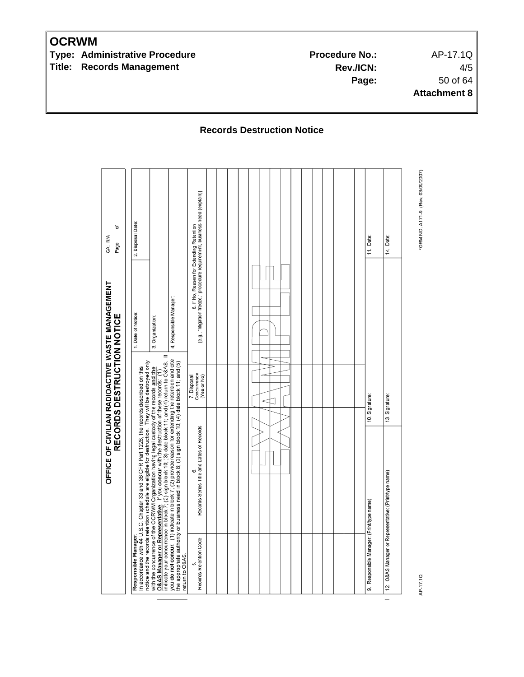**Type: Administrative Procedure Access 20 Frocedure No.:** AP-17.1Q **Title: Records Management** 

**Rev./ICN:** 4/5 **Page:** 50 of 64 **Attachment 8**

**Records Destruction Notice** 

FORM NO. A171-9 (Rev. 03/09/2007) 8. If No, Reason for Extending Retention<br>[e.g., "litigation freeze," procedure requirement, business need (explain)] Date: đ Disposal QA: N/A Date: Date: Page Ε Ι4.  $\overline{N}$ OFFICE OF CIVILIAN RADIOACTIVE WASTE MANAGEMENT 4. Responsible Manager: RECORDS DESTRUCTION NOTICE Date of Notice: Organization: ക് Responsible Manager:<br>In accordance with 44 U.S.C. Chapter 33 and 36 CFR Part 1228, the records described on this<br>notice and the records retention schedule are eligible for destruction. They will be destroyed only<br>obtained 7. Disposal<br>Concurrence<br>(Yes or No) 10. Signature: Signature:  $\operatorname{\lhd}$ 13. 6.<br>Records Series Title and Dates of Records name) (Print/type Responsible Manager: (Print/type name) O&AS Manager or Representative: Records Retention Code <sub>ယ</sub> AP-17.1Q 12.  $\sigma$  $\overline{\phantom{0}}$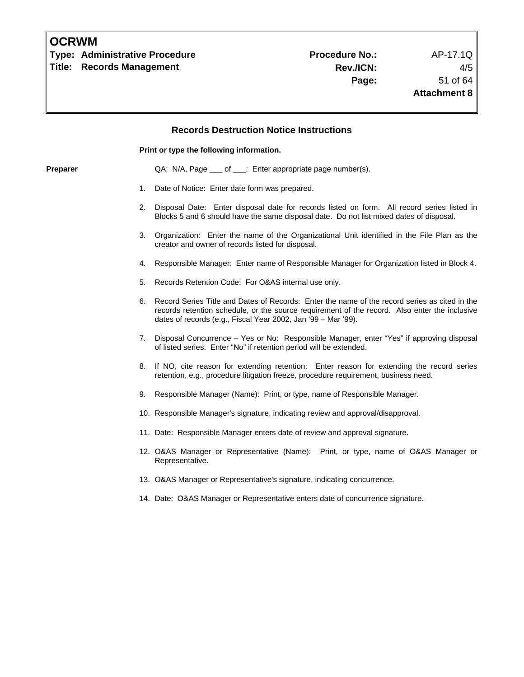**Type: Administrative Procedure No.: Procedure No.:** AP-17.1Q **Title: Records Management** 

# **Records Destruction Notice Instructions Print or type the following information. Preparer CA: N/A, Page \_\_\_ of \_\_\_: Enter appropriate page number(s).** 1. Date of Notice: Enter date form was prepared. 2. Disposal Date: Enter disposal date for records listed on form. All record series listed in Blocks 5 and 6 should have the same disposal date. Do not list mixed dates of disposal. 3. Organization: Enter the name of the Organizational Unit identified in the File Plan as the creator and owner of records listed for disposal. 4. Responsible Manager: Enter name of Responsible Manager for Organization listed in Block 4. 5. Records Retention Code: For O&AS internal use only. 6. Record Series Title and Dates of Records: Enter the name of the record series as cited in the records retention schedule, or the source requirement of the record. Also enter the inclusive dates of records (e.g., Fiscal Year 2002, Jan '99 – Mar '99). 7. Disposal Concurrence – Yes or No: Responsible Manager, enter "Yes" if approving disposal of listed series. Enter "No" if retention period will be extended. 8. If NO, cite reason for extending retention: Enter reason for extending the record series retention, e.g., procedure litigation freeze, procedure requirement, business need. 9. Responsible Manager (Name): Print, or type, name of Responsible Manager. 10. Responsible Manager's signature, indicating review and approval/disapproval. 11. Date: Responsible Manager enters date of review and approval signature. 12. O&AS Manager or Representative (Name): Print, or type, name of O&AS Manager or Representative. 13. O&AS Manager or Representative's signature, indicating concurrence. 14. Date: O&AS Manager or Representative enters date of concurrence signature.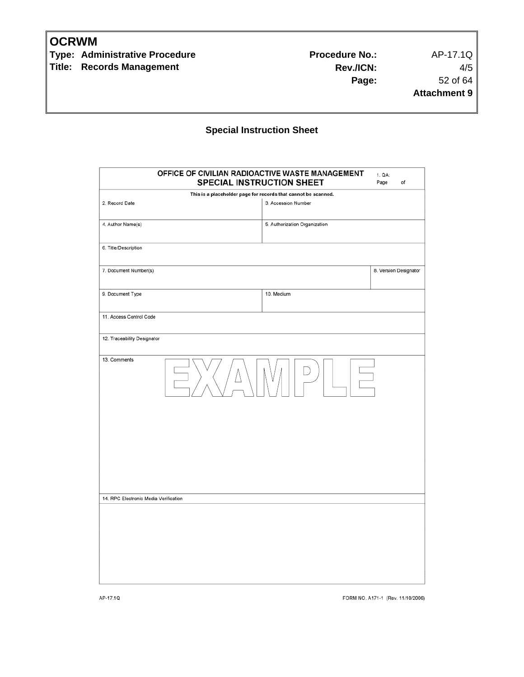**Type: Administrative Procedure No.:** Procedure No.: AP-17.1Q **Title: Records Management** 

**Rev./ICN:** 4/5 **Page:** 52 of 64 **Attachment 9**

### **Special Instruction Sheet**

| OFFICE OF CIVILIAN RADIOACTIVE WASTE MANAGEMENT<br>SPECIAL INSTRUCTION SHEET |                                                                | 1. QA:<br>Page<br>of  |
|------------------------------------------------------------------------------|----------------------------------------------------------------|-----------------------|
|                                                                              | This is a placeholder page for records that cannot be scanned. |                       |
| 2. Record Date                                                               | 3. Accession Number                                            |                       |
| 4. Author Name(s)                                                            | 5. Authorization Organization                                  |                       |
| 6. Title/Description                                                         |                                                                |                       |
| 7. Document Number(s)                                                        |                                                                | 8. Version Designator |
| 9. Document Type                                                             | 10. Medium                                                     |                       |
| 11. Access Control Code                                                      |                                                                |                       |
| 12. Traceability Designator                                                  |                                                                |                       |
| 13. Comments                                                                 |                                                                |                       |
|                                                                              |                                                                |                       |
|                                                                              |                                                                |                       |
|                                                                              |                                                                |                       |
| 14. RPC Electronic Media Verification                                        |                                                                |                       |
|                                                                              |                                                                |                       |
|                                                                              |                                                                |                       |
|                                                                              |                                                                |                       |
|                                                                              |                                                                |                       |

FORM NO. A171-1 (Rev. 11/10/2006)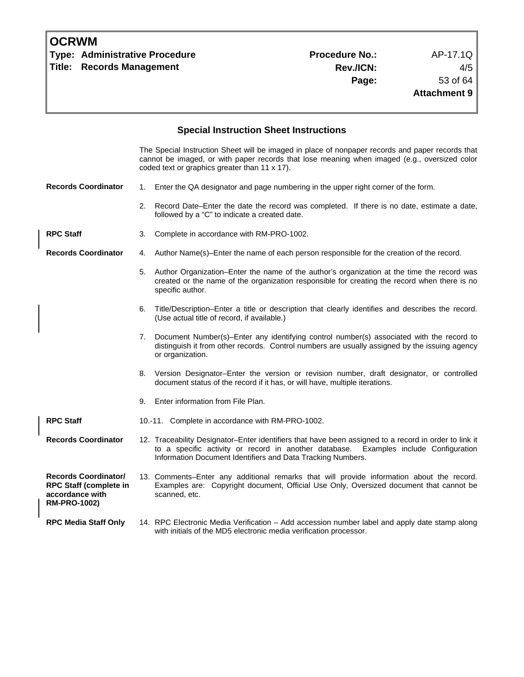| <b>OCRWM</b><br><b>Type: Administrative Procedure</b><br><b>Records Management</b><br>Title:           |    |                                                                                                                                                                                                                                                   | <b>Procedure No.:</b><br>Rev./ICN:<br>Page: | AP-17.1Q<br>4/5<br>53 of 64<br><b>Attachment 9</b> |
|--------------------------------------------------------------------------------------------------------|----|---------------------------------------------------------------------------------------------------------------------------------------------------------------------------------------------------------------------------------------------------|---------------------------------------------|----------------------------------------------------|
|                                                                                                        |    | <b>Special Instruction Sheet Instructions</b>                                                                                                                                                                                                     |                                             |                                                    |
|                                                                                                        |    | The Special Instruction Sheet will be imaged in place of nonpaper records and paper records that<br>cannot be imaged, or with paper records that lose meaning when imaged (e.g., oversized color<br>coded text or graphics greater than 11 x 17). |                                             |                                                    |
| <b>Records Coordinator</b>                                                                             |    | 1. Enter the QA designator and page numbering in the upper right corner of the form.                                                                                                                                                              |                                             |                                                    |
|                                                                                                        | 2. | Record Date–Enter the date the record was completed. If there is no date, estimate a date,<br>followed by a "C" to indicate a created date.                                                                                                       |                                             |                                                    |
| <b>RPC Staff</b>                                                                                       | 3. | Complete in accordance with RM-PRO-1002.                                                                                                                                                                                                          |                                             |                                                    |
| <b>Records Coordinator</b>                                                                             | 4. | Author Name(s)-Enter the name of each person responsible for the creation of the record.                                                                                                                                                          |                                             |                                                    |
|                                                                                                        | 5. | Author Organization-Enter the name of the author's organization at the time the record was<br>created or the name of the organization responsible for creating the record when there is no<br>specific author.                                    |                                             |                                                    |
|                                                                                                        | 6. | Title/Description–Enter a title or description that clearly identifies and describes the record.<br>(Use actual title of record, if available.)                                                                                                   |                                             |                                                    |
|                                                                                                        | 7. | Document Number(s)-Enter any identifying control number(s) associated with the record to<br>distinguish it from other records. Control numbers are usually assigned by the issuing agency<br>or organization.                                     |                                             |                                                    |
|                                                                                                        | 8. | Version Designator-Enter the version or revision number, draft designator, or controlled<br>document status of the record if it has, or will have, multiple iterations.                                                                           |                                             |                                                    |
|                                                                                                        | 9. | Enter information from File Plan.                                                                                                                                                                                                                 |                                             |                                                    |
| <b>RPC Staff</b>                                                                                       |    | 10.-11. Complete in accordance with RM-PRO-1002.                                                                                                                                                                                                  |                                             |                                                    |
| <b>Records Coordinator</b>                                                                             |    | 12. Traceability Designator-Enter identifiers that have been assigned to a record in order to link it<br>to a specific activity or record in another database.<br>Information Document Identifiers and Data Tracking Numbers.                     |                                             | Examples include Configuration                     |
| <b>Records Coordinator/</b><br><b>RPC Staff (complete in</b><br>accordance with<br><b>RM-PRO-1002)</b> |    | 13. Comments-Enter any additional remarks that will provide information about the record.<br>Examples are: Copyright document, Official Use Only, Oversized document that cannot be<br>scanned, etc.                                              |                                             |                                                    |
| <b>RPC Media Staff Only</b>                                                                            |    | 14. RPC Electronic Media Verification - Add accession number label and apply date stamp along<br>with initials of the MD5 electronic media verification processor.                                                                                |                                             |                                                    |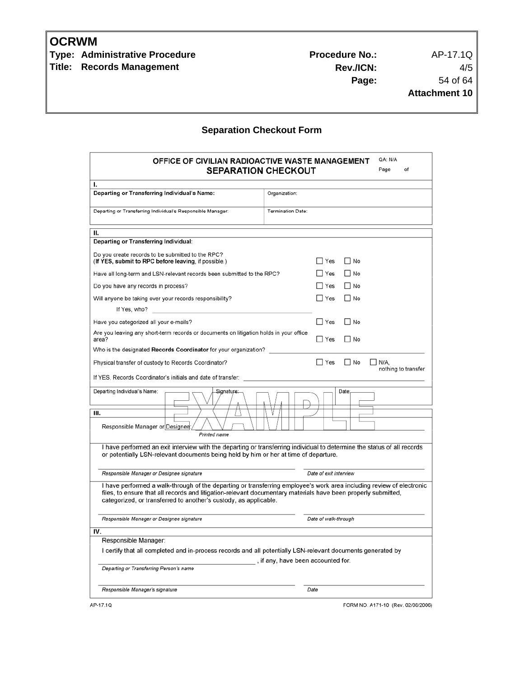**Type: Administrative Procedure No.:** Procedure No.: AP-17.1Q **Title: Records Management** 

**Rev./ICN:** 4/5 **Page:** 54 of 64 **Attachment 10**

## **Separation Checkout Form**

| OFFICE OF CIVILIAN RADIOACTIVE WASTE MANAGEMENT<br><b>SEPARATION CHECKOUT</b>                                                                                                                                                                                                                             | QA: N/A<br>Page<br>οf                               |
|-----------------------------------------------------------------------------------------------------------------------------------------------------------------------------------------------------------------------------------------------------------------------------------------------------------|-----------------------------------------------------|
| ı.                                                                                                                                                                                                                                                                                                        |                                                     |
| Departing or Transferring Individual's Name:                                                                                                                                                                                                                                                              | Organization:                                       |
| Departing or Transferring Individual's Responsible Manager:                                                                                                                                                                                                                                               | <b>Termination Date:</b>                            |
| н.                                                                                                                                                                                                                                                                                                        |                                                     |
| Departing or Transferring Individual:                                                                                                                                                                                                                                                                     |                                                     |
| Do you create records to be submitted to the RPC?<br>(If YES, submit to RPC before leaving, if possible.)                                                                                                                                                                                                 | No<br>∣ Yes                                         |
| Have all long-term and LSN-relevant records been submitted to the RPC?                                                                                                                                                                                                                                    | Yes<br>    No                                       |
| Do you have any records in process?                                                                                                                                                                                                                                                                       | Yes<br>$\Box$ No                                    |
| Will anyone be taking over your records responsibility?<br>If Yes, who?<br>the control of the control of the control of the control of the control of                                                                                                                                                     | $\Box$ Yes<br>$\Box$ No                             |
| Have you categorized all your e-mails?                                                                                                                                                                                                                                                                    | $\Box$ Yes<br>$\Box$ No                             |
| Are you leaving any short-term records or documents on litigation holds in your office<br>area?                                                                                                                                                                                                           | $\Box$ Yes<br>$\Box$ No                             |
| Who is the designated Records Coordinator for your organization?                                                                                                                                                                                                                                          |                                                     |
| Physical transfer of custody to Records Coordinator?                                                                                                                                                                                                                                                      | $\Box$ Yes<br>  No<br>∐ N/A.<br>nothing to transfer |
| If YES, Records Coordinator's initials and date of transfer:                                                                                                                                                                                                                                              |                                                     |
| Departing Individual's Name:<br>Signature:<br>Ш.<br>Responsible Manager or Designee<br>Printed name                                                                                                                                                                                                       | Date:                                               |
| I have performed an exit interview with the departing or transferring individual to determine the status of all records<br>or potentially LSN-relevant documents being held by him or her at time of departure.                                                                                           |                                                     |
| Responsible Manager or Designee signature                                                                                                                                                                                                                                                                 | Date of exit interview                              |
| I have performed a walk-through of the departing or transferring employee's work area including review of electronic<br>files, to ensure that all records and litigation-relevant documentary materials have been properly submitted,<br>categorized, or transferred to another's custody, as applicable. |                                                     |
| Responsible Manager or Designee signature                                                                                                                                                                                                                                                                 | Date of walk-through                                |
| IV.                                                                                                                                                                                                                                                                                                       |                                                     |
| Responsible Manager:<br>I certify that all completed and in-process records and all potentially LSN-relevant documents generated by                                                                                                                                                                       | , if any, have been accounted for.                  |
| Departing or Transferring Person's name                                                                                                                                                                                                                                                                   |                                                     |
| Responsible Manager's signature                                                                                                                                                                                                                                                                           | Date                                                |
| AP-17.1Q                                                                                                                                                                                                                                                                                                  | FORM NO. A171-10 (Rev. 02/08/2006)                  |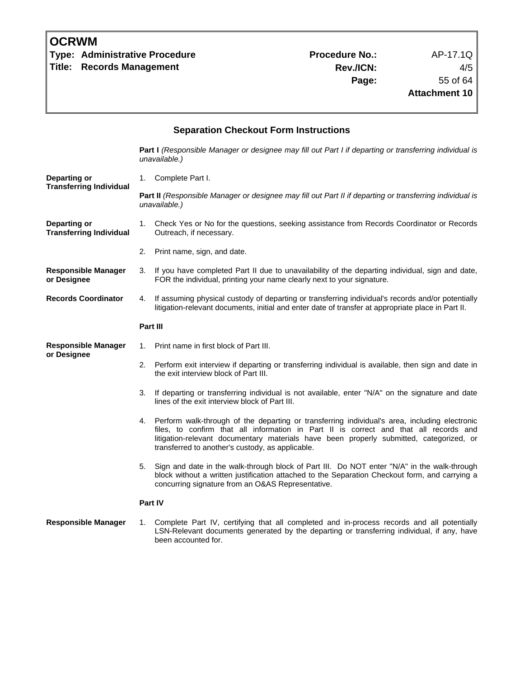| <b>OCRWM</b> |  |
|--------------|--|
|--------------|--|

**Type: Administrative Procedure Access Access Procedure No.:** AP-17.1Q **Title: Records Management** 

**Rev./ICN:** 4/5 **Page:** 55 of 64 **Attachment 10**

| <b>Separation Checkout Form Instructions</b>   |                                                                                                                                                                                                                                                                                                                                             |  |  |  |
|------------------------------------------------|---------------------------------------------------------------------------------------------------------------------------------------------------------------------------------------------------------------------------------------------------------------------------------------------------------------------------------------------|--|--|--|
|                                                | Part I (Responsible Manager or designee may fill out Part I if departing or transferring individual is<br>unavailable.)                                                                                                                                                                                                                     |  |  |  |
| Departing or                                   | 1. Complete Part I.                                                                                                                                                                                                                                                                                                                         |  |  |  |
| <b>Transferring Individual</b>                 | Part II (Responsible Manager or designee may fill out Part II if departing or transferring individual is<br>unavailable.)                                                                                                                                                                                                                   |  |  |  |
| Departing or<br><b>Transferring Individual</b> | 1. Check Yes or No for the questions, seeking assistance from Records Coordinator or Records<br>Outreach, if necessary.                                                                                                                                                                                                                     |  |  |  |
|                                                | 2. Print name, sign, and date.                                                                                                                                                                                                                                                                                                              |  |  |  |
| <b>Responsible Manager</b><br>or Designee      | 3. If you have completed Part II due to unavailability of the departing individual, sign and date,<br>FOR the individual, printing your name clearly next to your signature.                                                                                                                                                                |  |  |  |
| <b>Records Coordinator</b>                     | 4. If assuming physical custody of departing or transferring individual's records and/or potentially<br>litigation-relevant documents, initial and enter date of transfer at appropriate place in Part II.                                                                                                                                  |  |  |  |
|                                                | Part III                                                                                                                                                                                                                                                                                                                                    |  |  |  |
| <b>Responsible Manager</b><br>or Designee      | Print name in first block of Part III.<br>1.                                                                                                                                                                                                                                                                                                |  |  |  |
|                                                | 2. Perform exit interview if departing or transferring individual is available, then sign and date in<br>the exit interview block of Part III.                                                                                                                                                                                              |  |  |  |
|                                                | If departing or transferring individual is not available, enter "N/A" on the signature and date<br>3.<br>lines of the exit interview block of Part III.                                                                                                                                                                                     |  |  |  |
|                                                | Perform walk-through of the departing or transferring individual's area, including electronic<br>4.<br>files, to confirm that all information in Part II is correct and that all records and<br>litigation-relevant documentary materials have been properly submitted, categorized, or<br>transferred to another's custody, as applicable. |  |  |  |
|                                                | Sign and date in the walk-through block of Part III. Do NOT enter "N/A" in the walk-through<br>5.<br>block without a written justification attached to the Separation Checkout form, and carrying a<br>concurring signature from an O&AS Representative.                                                                                    |  |  |  |
|                                                | Part IV                                                                                                                                                                                                                                                                                                                                     |  |  |  |
| Responsible Manager                            | Complete Part IV, certifying that all completed and in-process records and all potentially<br>1.<br>LSN-Relevant documents generated by the departing or transferring individual, if any, have<br>been accounted for.                                                                                                                       |  |  |  |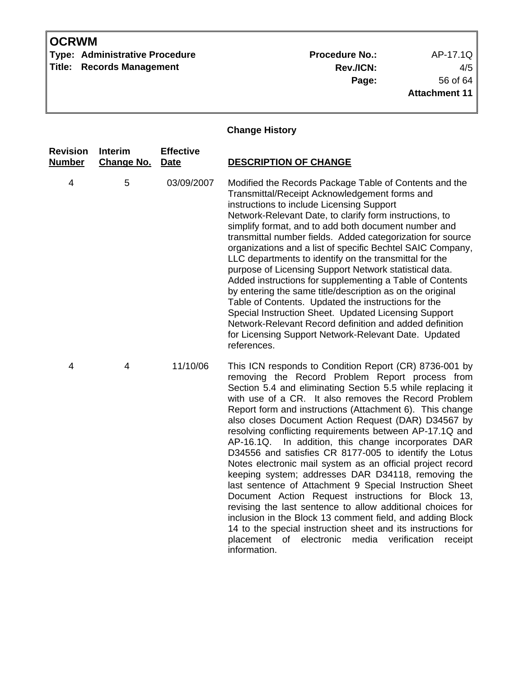**Type: Administrative Procedure No.:** Procedure No.: AP-17.1Q **Title: Records Management** 

**Rev./ICN:** 4/5 **Page:** 56 of 64 **Attachment 11**

## **Change History**

| <b>Revision</b><br>Number | Interim<br><b>Change No.</b> | <b>Effective</b><br><b>Date</b> | <b>DESCRIPTION OF CHANGE</b>                                                                                                                                                                                                                                                                                                                                                                                                                                                                                                                                                                                                                                                                                                                                                                                                                                                                                                                                                                                                                        |
|---------------------------|------------------------------|---------------------------------|-----------------------------------------------------------------------------------------------------------------------------------------------------------------------------------------------------------------------------------------------------------------------------------------------------------------------------------------------------------------------------------------------------------------------------------------------------------------------------------------------------------------------------------------------------------------------------------------------------------------------------------------------------------------------------------------------------------------------------------------------------------------------------------------------------------------------------------------------------------------------------------------------------------------------------------------------------------------------------------------------------------------------------------------------------|
| 4                         | 5                            | 03/09/2007                      | Modified the Records Package Table of Contents and the<br>Transmittal/Receipt Acknowledgement forms and<br>instructions to include Licensing Support<br>Network-Relevant Date, to clarify form instructions, to<br>simplify format, and to add both document number and<br>transmittal number fields. Added categorization for source<br>organizations and a list of specific Bechtel SAIC Company,<br>LLC departments to identify on the transmittal for the<br>purpose of Licensing Support Network statistical data.<br>Added instructions for supplementing a Table of Contents<br>by entering the same title/description as on the original<br>Table of Contents. Updated the instructions for the<br>Special Instruction Sheet. Updated Licensing Support<br>Network-Relevant Record definition and added definition<br>for Licensing Support Network-Relevant Date. Updated<br>references.                                                                                                                                                   |
| 4                         | 4                            | 11/10/06                        | This ICN responds to Condition Report (CR) 8736-001 by<br>removing the Record Problem Report process from<br>Section 5.4 and eliminating Section 5.5 while replacing it<br>with use of a CR. It also removes the Record Problem<br>Report form and instructions (Attachment 6). This change<br>also closes Document Action Request (DAR) D34567 by<br>resolving conflicting requirements between AP-17.1Q and<br>AP-16.1Q.<br>In addition, this change incorporates DAR<br>D34556 and satisfies CR 8177-005 to identify the Lotus<br>Notes electronic mail system as an official project record<br>keeping system; addresses DAR D34118, removing the<br>last sentence of Attachment 9 Special Instruction Sheet<br>Document Action Request instructions for Block 13,<br>revising the last sentence to allow additional choices for<br>inclusion in the Block 13 comment field, and adding Block<br>14 to the special instruction sheet and its instructions for<br>placement<br>of electronic<br>media<br>verification<br>receipt<br>information. |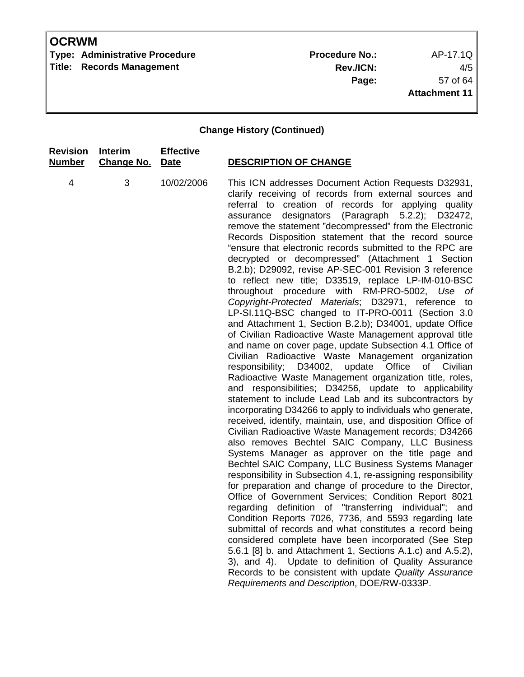**Type: Administrative Procedure No.:** Procedure No.: AP-17.1Q **Title: Records Management** 

**Rev./ICN:** 4/5 **Page:** 57 of 64 **Attachment 11**

| <b>Revision</b> | <b>Interim</b>    | <b>Effective</b> | <b>DESCRIPTION OF CHANGE</b>                                                                                                                                                                                                                                                                                                                                                                                                                                                                                                                                                                                                                                                                                                                                                                                                                                                                                                                                                                                                                                                                                                                                                                                                                                                                                                                                                                                                                                                                                                                                                                                                                                                                                                                                                                                                                                                                                                                                                                                                                                                                                                                                                                                                                       |
|-----------------|-------------------|------------------|----------------------------------------------------------------------------------------------------------------------------------------------------------------------------------------------------------------------------------------------------------------------------------------------------------------------------------------------------------------------------------------------------------------------------------------------------------------------------------------------------------------------------------------------------------------------------------------------------------------------------------------------------------------------------------------------------------------------------------------------------------------------------------------------------------------------------------------------------------------------------------------------------------------------------------------------------------------------------------------------------------------------------------------------------------------------------------------------------------------------------------------------------------------------------------------------------------------------------------------------------------------------------------------------------------------------------------------------------------------------------------------------------------------------------------------------------------------------------------------------------------------------------------------------------------------------------------------------------------------------------------------------------------------------------------------------------------------------------------------------------------------------------------------------------------------------------------------------------------------------------------------------------------------------------------------------------------------------------------------------------------------------------------------------------------------------------------------------------------------------------------------------------------------------------------------------------------------------------------------------------|
| <b>Number</b>   | <b>Change No.</b> | Date             |                                                                                                                                                                                                                                                                                                                                                                                                                                                                                                                                                                                                                                                                                                                                                                                                                                                                                                                                                                                                                                                                                                                                                                                                                                                                                                                                                                                                                                                                                                                                                                                                                                                                                                                                                                                                                                                                                                                                                                                                                                                                                                                                                                                                                                                    |
| $\overline{4}$  | 3                 | 10/02/2006       | This ICN addresses Document Action Requests D32931,<br>clarify receiving of records from external sources and<br>referral to creation of records for applying quality<br>designators (Paragraph 5.2.2); D32472,<br>assurance<br>remove the statement "decompressed" from the Electronic<br>Records Disposition statement that the record source<br>"ensure that electronic records submitted to the RPC are<br>decrypted or decompressed" (Attachment 1 Section<br>B.2.b); D29092, revise AP-SEC-001 Revision 3 reference<br>to reflect new title; D33519, replace LP-IM-010-BSC<br>throughout procedure with RM-PRO-5002, Use of<br>Copyright-Protected Materials; D32971, reference to<br>LP-SI.11Q-BSC changed to IT-PRO-0011 (Section 3.0<br>and Attachment 1, Section B.2.b); D34001, update Office<br>of Civilian Radioactive Waste Management approval title<br>and name on cover page, update Subsection 4.1 Office of<br>Civilian Radioactive Waste Management organization<br>responsibility; D34002,<br>update<br>Office<br>of Civilian<br>Radioactive Waste Management organization title, roles,<br>and responsibilities; D34256, update to applicability<br>statement to include Lead Lab and its subcontractors by<br>incorporating D34266 to apply to individuals who generate,<br>received, identify, maintain, use, and disposition Office of<br>Civilian Radioactive Waste Management records; D34266<br>also removes Bechtel SAIC Company, LLC Business<br>Systems Manager as approver on the title page and<br>Bechtel SAIC Company, LLC Business Systems Manager<br>responsibility in Subsection 4.1, re-assigning responsibility<br>for preparation and change of procedure to the Director,<br>Office of Government Services; Condition Report 8021<br>regarding definition of "transferring individual"; and<br>Condition Reports 7026, 7736, and 5593 regarding late<br>submittal of records and what constitutes a record being<br>considered complete have been incorporated (See Step<br>5.6.1 [8] b. and Attachment 1, Sections A.1.c) and A.5.2),<br>3), and 4). Update to definition of Quality Assurance<br>Records to be consistent with update Quality Assurance<br>Requirements and Description, DOE/RW-0333P. |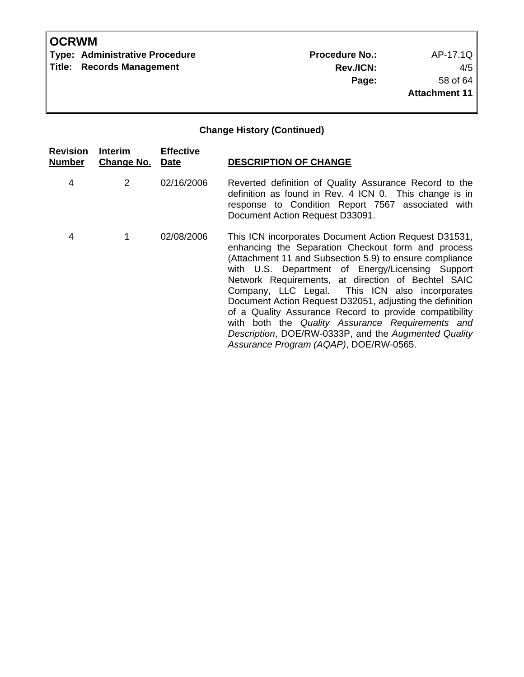**Type: Administrative Procedure No.:** Procedure No.: AP-17.1Q **Title: Records Management** 

**Rev./ICN:** 4/5 **Page:** 58 of 64 **Attachment 11**

| <b>Revision</b><br><b>Number</b> | Interim<br><b>Change No. Date</b> | <b>Effective</b> | <b>DESCRIPTION OF CHANGE</b>                                                                                                                                                                                                                                                                                                                                                                                                                                                                                                                                                                                   |
|----------------------------------|-----------------------------------|------------------|----------------------------------------------------------------------------------------------------------------------------------------------------------------------------------------------------------------------------------------------------------------------------------------------------------------------------------------------------------------------------------------------------------------------------------------------------------------------------------------------------------------------------------------------------------------------------------------------------------------|
| 4                                | $\mathbf{2}^{\prime}$             | 02/16/2006       | Reverted definition of Quality Assurance Record to the<br>definition as found in Rev. 4 ICN 0. This change is in<br>response to Condition Report 7567 associated with<br>Document Action Request D33091.                                                                                                                                                                                                                                                                                                                                                                                                       |
| 4                                |                                   | 02/08/2006       | This ICN incorporates Document Action Request D31531,<br>enhancing the Separation Checkout form and process<br>(Attachment 11 and Subsection 5.9) to ensure compliance<br>with U.S. Department of Energy/Licensing Support<br>Network Requirements, at direction of Bechtel SAIC<br>Company, LLC Legal. This ICN also incorporates<br>Document Action Request D32051, adjusting the definition<br>of a Quality Assurance Record to provide compatibility<br>with both the Quality Assurance Requirements and<br>Description, DOE/RW-0333P, and the Augmented Quality<br>Assurance Program (AQAP), DOE/RW-0565. |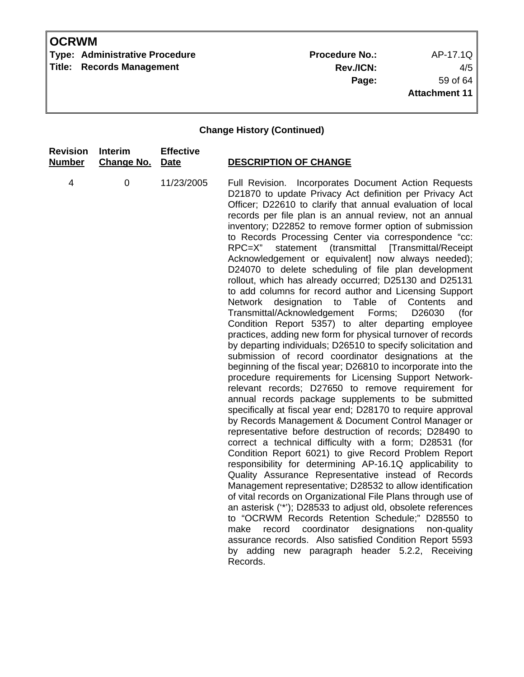**Type: Administrative Procedure No.:** Procedure No.: AP-17.1Q **Title: Records Management** 

**Rev./ICN:** 4/5 **Page:** 59 of 64 **Attachment 11**

| <b>Revision</b> | Interim           | <b>Effective</b> | <b>DESCRIPTION OF CHANGE</b>                                                                                                                                                                                                                                                                                                                                                                                                                                                                                                                                                                                                                                                                                                                                                                                                                                                                                                                                                                                                                                                                                                                                                                                                                                                                                                                                                                                                                                                                                                                                                                                                                                                                                                                                                                                                                                                                                                                                                                                                                                                                                                                   |
|-----------------|-------------------|------------------|------------------------------------------------------------------------------------------------------------------------------------------------------------------------------------------------------------------------------------------------------------------------------------------------------------------------------------------------------------------------------------------------------------------------------------------------------------------------------------------------------------------------------------------------------------------------------------------------------------------------------------------------------------------------------------------------------------------------------------------------------------------------------------------------------------------------------------------------------------------------------------------------------------------------------------------------------------------------------------------------------------------------------------------------------------------------------------------------------------------------------------------------------------------------------------------------------------------------------------------------------------------------------------------------------------------------------------------------------------------------------------------------------------------------------------------------------------------------------------------------------------------------------------------------------------------------------------------------------------------------------------------------------------------------------------------------------------------------------------------------------------------------------------------------------------------------------------------------------------------------------------------------------------------------------------------------------------------------------------------------------------------------------------------------------------------------------------------------------------------------------------------------|
| <b>Number</b>   | <b>Change No.</b> | <b>Date</b>      |                                                                                                                                                                                                                                                                                                                                                                                                                                                                                                                                                                                                                                                                                                                                                                                                                                                                                                                                                                                                                                                                                                                                                                                                                                                                                                                                                                                                                                                                                                                                                                                                                                                                                                                                                                                                                                                                                                                                                                                                                                                                                                                                                |
| 4               | $\mathbf 0$       | 11/23/2005       | Full Revision.<br>Incorporates Document Action Requests<br>D21870 to update Privacy Act definition per Privacy Act<br>Officer; D22610 to clarify that annual evaluation of local<br>records per file plan is an annual review, not an annual<br>inventory; D22852 to remove former option of submission<br>to Records Processing Center via correspondence "cc:<br>(transmittal<br>[Transmittal/Receipt<br>$RPC=X$ "<br>statement<br>Acknowledgement or equivalent] now always needed);<br>D24070 to delete scheduling of file plan development<br>rollout, which has already occurred; D25130 and D25131<br>to add columns for record author and Licensing Support<br>designation to Table of<br>Network<br>Contents<br>and<br>Transmittal/Acknowledgement<br>Forms;<br>D26030<br>(for<br>Condition Report 5357) to alter departing employee<br>practices, adding new form for physical turnover of records<br>by departing individuals; D26510 to specify solicitation and<br>submission of record coordinator designations at the<br>beginning of the fiscal year; D26810 to incorporate into the<br>procedure requirements for Licensing Support Network-<br>relevant records; D27650 to remove requirement for<br>annual records package supplements to be submitted<br>specifically at fiscal year end; D28170 to require approval<br>by Records Management & Document Control Manager or<br>representative before destruction of records; D28490 to<br>correct a technical difficulty with a form; D28531 (for<br>Condition Report 6021) to give Record Problem Report<br>responsibility for determining AP-16.1Q applicability to<br>Quality Assurance Representative instead of Records<br>Management representative; D28532 to allow identification<br>of vital records on Organizational File Plans through use of<br>an asterisk ("*'); D28533 to adjust old, obsolete references<br>to "OCRWM Records Retention Schedule;" D28550 to<br>coordinator<br>designations<br>make<br>record<br>non-quality<br>assurance records. Also satisfied Condition Report 5593<br>by adding<br>new paragraph header 5.2.2, Receiving<br>Records. |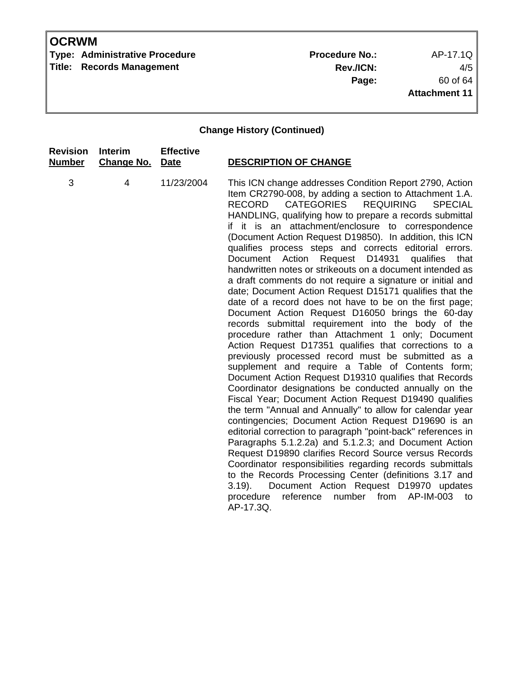**Type: Administrative Procedure No.:** Procedure No.: AP-17.1Q **Title: Records Management** 

**Rev./ICN:** 4/5 **Page:** 60 of 64 **Attachment 11**

| <b>Revision</b> | <b>Interim</b>    | <b>Effective</b> | <b>DESCRIPTION OF CHANGE</b>                                                                                                                                                                                                                                                                                                                                                                                                                                                                                                                                                                                                                                                                                                                                                                                                                                                                                                                                                                                                                                                                                                                                                                                                                                                                                                                                                                                                                                                                                                                                                                                                                                                                                                                                                                                              |
|-----------------|-------------------|------------------|---------------------------------------------------------------------------------------------------------------------------------------------------------------------------------------------------------------------------------------------------------------------------------------------------------------------------------------------------------------------------------------------------------------------------------------------------------------------------------------------------------------------------------------------------------------------------------------------------------------------------------------------------------------------------------------------------------------------------------------------------------------------------------------------------------------------------------------------------------------------------------------------------------------------------------------------------------------------------------------------------------------------------------------------------------------------------------------------------------------------------------------------------------------------------------------------------------------------------------------------------------------------------------------------------------------------------------------------------------------------------------------------------------------------------------------------------------------------------------------------------------------------------------------------------------------------------------------------------------------------------------------------------------------------------------------------------------------------------------------------------------------------------------------------------------------------------|
| <b>Number</b>   | <b>Change No.</b> | <b>Date</b>      |                                                                                                                                                                                                                                                                                                                                                                                                                                                                                                                                                                                                                                                                                                                                                                                                                                                                                                                                                                                                                                                                                                                                                                                                                                                                                                                                                                                                                                                                                                                                                                                                                                                                                                                                                                                                                           |
| 3               | 4                 | 11/23/2004       | This ICN change addresses Condition Report 2790, Action<br>Item CR2790-008, by adding a section to Attachment 1.A.<br><b>CATEGORIES</b><br><b>REQUIRING</b><br><b>RECORD</b><br><b>SPECIAL</b><br>HANDLING, qualifying how to prepare a records submittal<br>if it is an attachment/enclosure to correspondence<br>(Document Action Request D19850). In addition, this ICN<br>qualifies process steps and corrects editorial errors.<br>Request D14931<br>Document Action<br>qualifies<br>that<br>handwritten notes or strikeouts on a document intended as<br>a draft comments do not require a signature or initial and<br>date; Document Action Request D15171 qualifies that the<br>date of a record does not have to be on the first page;<br>Document Action Request D16050 brings the 60-day<br>records submittal requirement into the body of the<br>procedure rather than Attachment 1 only; Document<br>Action Request D17351 qualifies that corrections to a<br>previously processed record must be submitted as a<br>supplement and require a Table of Contents form;<br>Document Action Request D19310 qualifies that Records<br>Coordinator designations be conducted annually on the<br>Fiscal Year; Document Action Request D19490 qualifies<br>the term "Annual and Annually" to allow for calendar year<br>contingencies; Document Action Request D19690 is an<br>editorial correction to paragraph "point-back" references in<br>Paragraphs 5.1.2.2a) and 5.1.2.3; and Document Action<br>Request D19890 clarifies Record Source versus Records<br>Coordinator responsibilities regarding records submittals<br>to the Records Processing Center (definitions 3.17 and<br>Document Action Request D19970 updates<br>$3.19$ ).<br>number from<br>AP-IM-003<br>procedure<br>reference<br>to<br>AP-17.3Q. |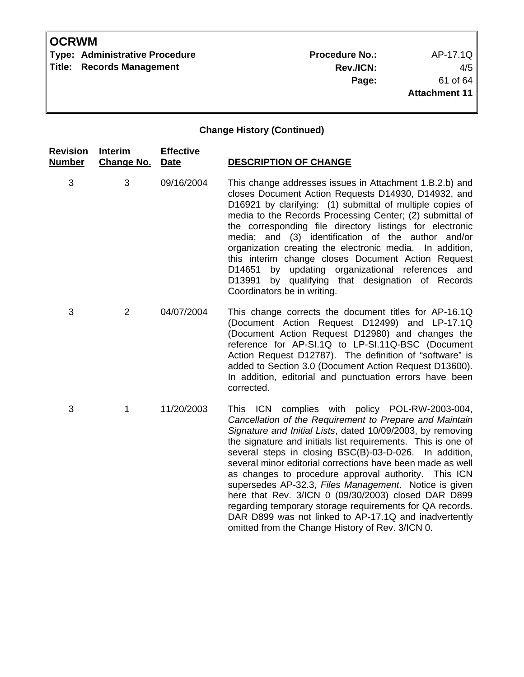**Type: Administrative Procedure No.:** Procedure No.: AP-17.1Q **Title: Records Management** 

**Rev./ICN:** 4/5 **Page:** 61 of 64 **Attachment 11**

| <b>Revision</b><br><b>Number</b> | Interim<br><b>Change No.</b> | <b>Effective</b><br><b>Date</b> | <b>DESCRIPTION OF CHANGE</b>                                                                                                                                                                                                                                                                                                                                                                                                                                                                                                                                                                                                                                                                                        |
|----------------------------------|------------------------------|---------------------------------|---------------------------------------------------------------------------------------------------------------------------------------------------------------------------------------------------------------------------------------------------------------------------------------------------------------------------------------------------------------------------------------------------------------------------------------------------------------------------------------------------------------------------------------------------------------------------------------------------------------------------------------------------------------------------------------------------------------------|
| 3                                | 3                            | 09/16/2004                      | This change addresses issues in Attachment 1.B.2.b) and<br>closes Document Action Requests D14930, D14932, and<br>D16921 by clarifying: (1) submittal of multiple copies of<br>media to the Records Processing Center; (2) submittal of<br>the corresponding file directory listings for electronic<br>media; and (3) identification of the author and/or<br>organization creating the electronic media. In addition,<br>this interim change closes Document Action Request<br>by updating organizational references and<br>D14651<br>by qualifying that designation of Records<br>D13991<br>Coordinators be in writing.                                                                                            |
| 3                                | $\overline{2}$               | 04/07/2004                      | This change corrects the document titles for AP-16.1Q<br>(Document Action Request D12499) and LP-17.1Q<br>(Document Action Request D12980) and changes the<br>reference for AP-SI.1Q to LP-SI.11Q-BSC (Document<br>Action Request D12787). The definition of "software" is<br>added to Section 3.0 (Document Action Request D13600).<br>In addition, editorial and punctuation errors have been<br>corrected.                                                                                                                                                                                                                                                                                                       |
| 3                                | 1                            | 11/20/2003                      | This ICN complies with policy POL-RW-2003-004,<br>Cancellation of the Requirement to Prepare and Maintain<br>Signature and Initial Lists, dated 10/09/2003, by removing<br>the signature and initials list requirements. This is one of<br>several steps in closing BSC(B)-03-D-026.<br>In addition,<br>several minor editorial corrections have been made as well<br>as changes to procedure approval authority. This ICN<br>supersedes AP-32.3, Files Management. Notice is given<br>here that Rev. 3/ICN 0 (09/30/2003) closed DAR D899<br>regarding temporary storage requirements for QA records.<br>DAR D899 was not linked to AP-17.1Q and inadvertently<br>omitted from the Change History of Rev. 3/ICN 0. |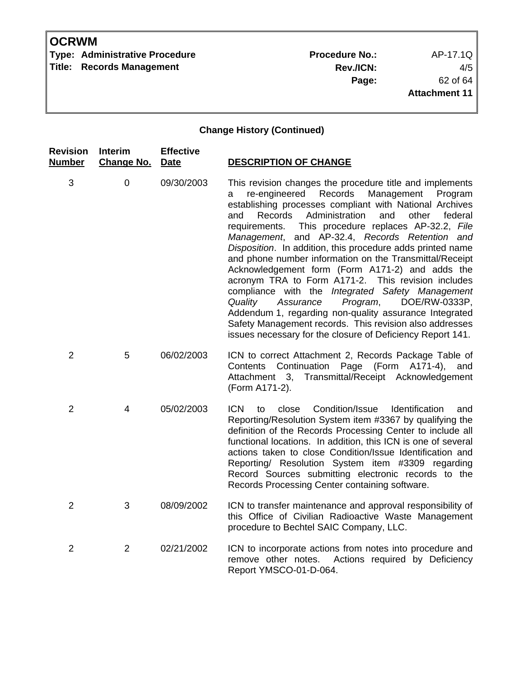**Type: Administrative Procedure No.:** Procedure No.: AP-17.1Q **Title: Records Management** 

**Rev./ICN:** 4/5 **Page:** 62 of 64 **Attachment 11**

| <b>Revision</b><br><b>Number</b> | <b>Interim</b><br><b>Change No.</b> | <b>Effective</b><br><b>Date</b> | <b>DESCRIPTION OF CHANGE</b>                                                                                                                                                                                                                                                                                                                                                                                                                                                                                                                                                                                                                                                                                                                                                                                                                                                           |
|----------------------------------|-------------------------------------|---------------------------------|----------------------------------------------------------------------------------------------------------------------------------------------------------------------------------------------------------------------------------------------------------------------------------------------------------------------------------------------------------------------------------------------------------------------------------------------------------------------------------------------------------------------------------------------------------------------------------------------------------------------------------------------------------------------------------------------------------------------------------------------------------------------------------------------------------------------------------------------------------------------------------------|
| 3                                | $\mathbf 0$                         | 09/30/2003                      | This revision changes the procedure title and implements<br>re-engineered<br>Records<br>Management<br>Program<br>a<br>establishing processes compliant with National Archives<br>Administration<br>and<br>other<br>Records<br>federal<br>and<br>This procedure replaces AP-32.2, File<br>requirements.<br>Management, and AP-32.4, Records Retention and<br>Disposition. In addition, this procedure adds printed name<br>and phone number information on the Transmittal/Receipt<br>Acknowledgement form (Form A171-2) and adds the<br>acronym TRA to Form A171-2. This revision includes<br>compliance with the Integrated Safety Management<br>Assurance<br>Program,<br>DOE/RW-0333P,<br>Quality<br>Addendum 1, regarding non-quality assurance Integrated<br>Safety Management records. This revision also addresses<br>issues necessary for the closure of Deficiency Report 141. |
| $\overline{2}$                   | 5                                   | 06/02/2003                      | ICN to correct Attachment 2, Records Package Table of<br>Page (Form A171-4),<br>Continuation<br>Contents<br>and<br>Transmittal/Receipt Acknowledgement<br>Attachment 3,<br>(Form A171-2).                                                                                                                                                                                                                                                                                                                                                                                                                                                                                                                                                                                                                                                                                              |
| $\overline{2}$                   | 4                                   | 05/02/2003                      | Condition/Issue<br><b>ICN</b><br><b>Identification</b><br>close<br>to<br>and<br>Reporting/Resolution System item #3367 by qualifying the<br>definition of the Records Processing Center to include all<br>functional locations. In addition, this ICN is one of several<br>actions taken to close Condition/Issue Identification and<br>Reporting/ Resolution System item #3309 regarding<br>Record Sources submitting electronic records to the<br>Records Processing Center containing software.                                                                                                                                                                                                                                                                                                                                                                                     |
| $\overline{2}$                   | 3                                   | 08/09/2002                      | ICN to transfer maintenance and approval responsibility of<br>this Office of Civilian Radioactive Waste Management<br>procedure to Bechtel SAIC Company, LLC.                                                                                                                                                                                                                                                                                                                                                                                                                                                                                                                                                                                                                                                                                                                          |
| $\overline{2}$                   | $\overline{2}$                      | 02/21/2002                      | ICN to incorporate actions from notes into procedure and<br>Actions required by Deficiency<br>remove other notes.<br>Report YMSCO-01-D-064.                                                                                                                                                                                                                                                                                                                                                                                                                                                                                                                                                                                                                                                                                                                                            |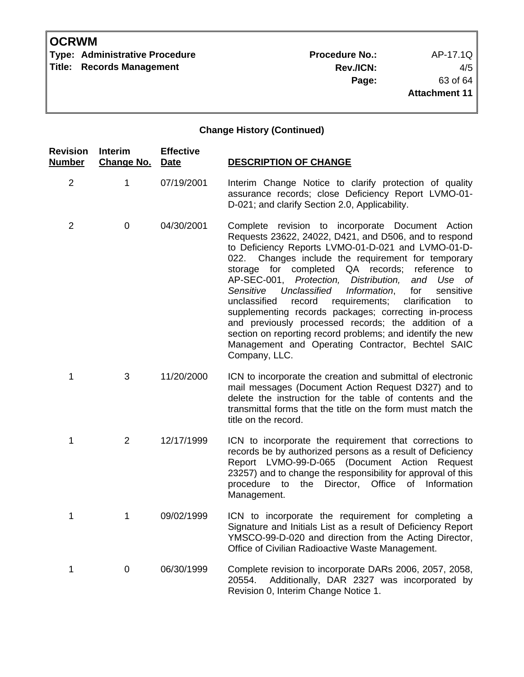**Type: Administrative Procedure No.:** Procedure No.: AP-17.1Q

**Title: Records Management** 

**Rev./ICN:** 4/5 **Page:** 63 of 64 **Attachment 11**

| <b>Revision</b><br><b>Number</b> | Interim<br><b>Change No.</b> | <b>Effective</b><br>Date | <b>DESCRIPTION OF CHANGE</b>                                                                                                                                                                                                                                                                                                                                                                                                                                                                                                                                                                                                                                                                                                   |
|----------------------------------|------------------------------|--------------------------|--------------------------------------------------------------------------------------------------------------------------------------------------------------------------------------------------------------------------------------------------------------------------------------------------------------------------------------------------------------------------------------------------------------------------------------------------------------------------------------------------------------------------------------------------------------------------------------------------------------------------------------------------------------------------------------------------------------------------------|
| $\overline{2}$                   | 1                            | 07/19/2001               | Interim Change Notice to clarify protection of quality<br>assurance records; close Deficiency Report LVMO-01-<br>D-021; and clarify Section 2.0, Applicability.                                                                                                                                                                                                                                                                                                                                                                                                                                                                                                                                                                |
| $\overline{2}$                   | $\mathbf 0$                  | 04/30/2001               | Complete revision to incorporate Document Action<br>Requests 23622, 24022, D421, and D506, and to respond<br>to Deficiency Reports LVMO-01-D-021 and LVMO-01-D-<br>Changes include the requirement for temporary<br>022.<br>storage for completed QA records; reference<br>to<br>AP-SEC-001, Protection, Distribution,<br>and Use<br>of<br>Unclassified<br>Information,<br>Sensitive<br>for<br>sensitive<br>unclassified<br>record<br>requirements;<br>clarification<br>to<br>supplementing records packages; correcting in-process<br>and previously processed records; the addition of a<br>section on reporting record problems; and identify the new<br>Management and Operating Contractor, Bechtel SAIC<br>Company, LLC. |
| 1                                | 3                            | 11/20/2000               | ICN to incorporate the creation and submittal of electronic<br>mail messages (Document Action Request D327) and to<br>delete the instruction for the table of contents and the<br>transmittal forms that the title on the form must match the<br>title on the record.                                                                                                                                                                                                                                                                                                                                                                                                                                                          |
| 1                                | 2                            | 12/17/1999               | ICN to incorporate the requirement that corrections to<br>records be by authorized persons as a result of Deficiency<br>Report LVMO-99-D-065 (Document Action Request<br>23257) and to change the responsibility for approval of this<br>Director, Office<br>of Information<br>procedure to the<br>Management.                                                                                                                                                                                                                                                                                                                                                                                                                 |
| 1                                | 1                            | 09/02/1999               | ICN to incorporate the requirement for completing a<br>Signature and Initials List as a result of Deficiency Report<br>YMSCO-99-D-020 and direction from the Acting Director,<br>Office of Civilian Radioactive Waste Management.                                                                                                                                                                                                                                                                                                                                                                                                                                                                                              |
| 1                                | 0                            | 06/30/1999               | Complete revision to incorporate DARs 2006, 2057, 2058,<br>Additionally, DAR 2327 was incorporated by<br>20554.<br>Revision 0, Interim Change Notice 1.                                                                                                                                                                                                                                                                                                                                                                                                                                                                                                                                                                        |